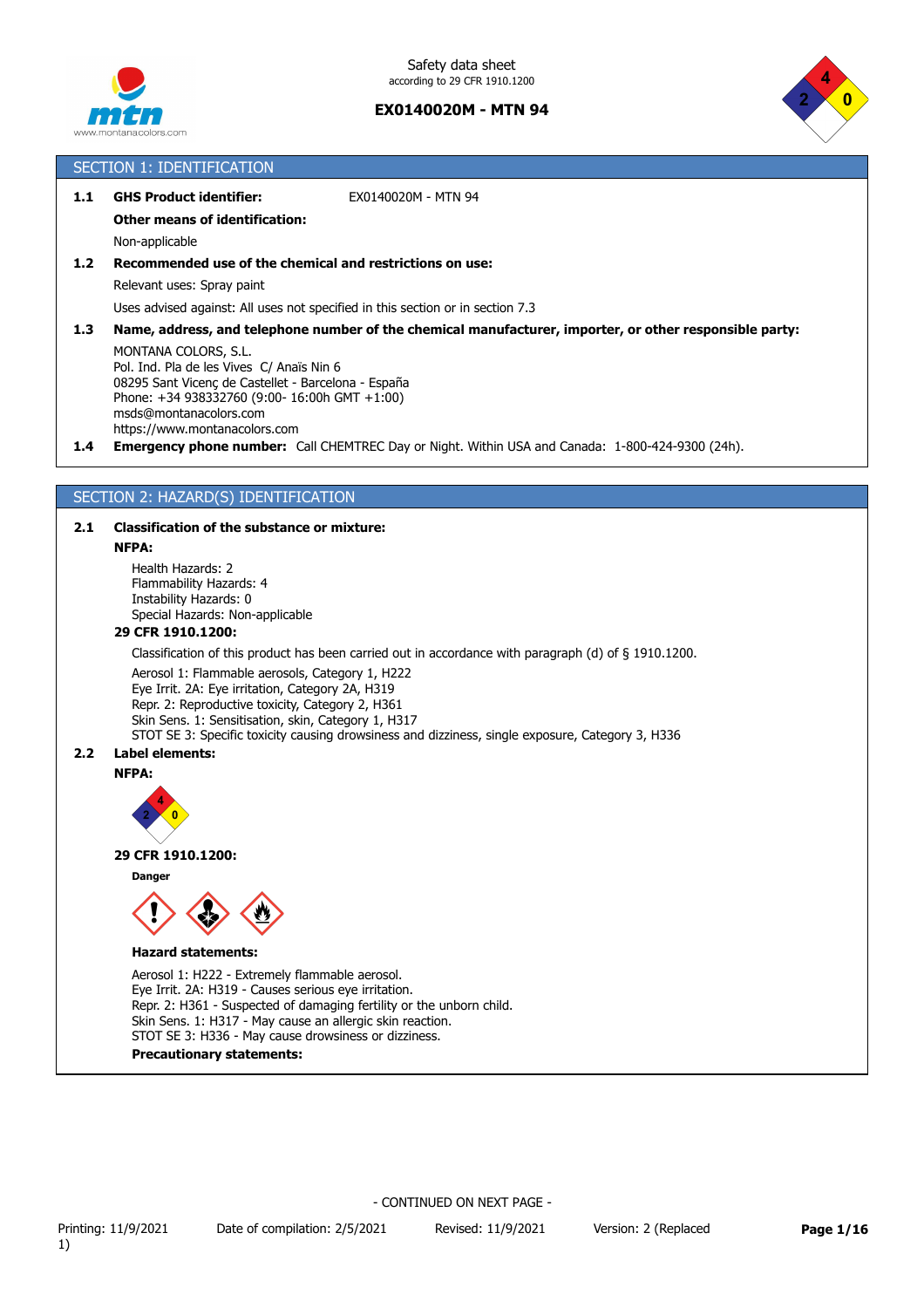



## SECTION 1: IDENTIFICATION

## **1.1 GHS Product identifier:** EX0140020M - MTN 94

## **Other means of identification:**

Non-applicable

### **1.2 Recommended use of the chemical and restrictions on use:**

Relevant uses: Spray paint

Uses advised against: All uses not specified in this section or in section 7.3

#### **1.3 Name, address, and telephone number of the chemical manufacturer, importer, or other responsible party:**

MONTANA COLORS, S.L. Pol. Ind. Pla de les Vives C/ Anaïs Nin 6 08295 Sant Vicenç de Castellet - Barcelona - España Phone: +34 938332760 (9:00- 16:00h GMT +1:00) msds@montanacolors.com https://www.montanacolors.com

**1.4 Emergency phone number:** Call CHEMTREC Day or Night. Within USA and Canada: 1-800-424-9300 (24h).

### SECTION 2: HAZARD(S) IDENTIFICATION

### **2.1 Classification of the substance or mixture:**

#### **NFPA:**

Health Hazards: 2 Flammability Hazards: 4 Instability Hazards: 0 Special Hazards: Non-applicable

### **29 CFR 1910.1200:**

Classification of this product has been carried out in accordance with paragraph (d) of § 1910.1200.

Aerosol 1: Flammable aerosols, Category 1, H222 Eye Irrit. 2A: Eye irritation, Category 2A, H319 Repr. 2: Reproductive toxicity, Category 2, H361 Skin Sens. 1: Sensitisation, skin, Category 1, H317 STOT SE 3: Specific toxicity causing drowsiness and dizziness, single exposure, Category 3, H336

### **2.2 Label elements:**

#### **NFPA:**



#### **29 CFR 1910.1200:**

**Danger**



#### **Hazard statements:**

Aerosol 1: H222 - Extremely flammable aerosol. Eye Irrit. 2A: H319 - Causes serious eye irritation. Repr. 2: H361 - Suspected of damaging fertility or the unborn child. Skin Sens. 1: H317 - May cause an allergic skin reaction. STOT SE 3: H336 - May cause drowsiness or dizziness. **Precautionary statements:**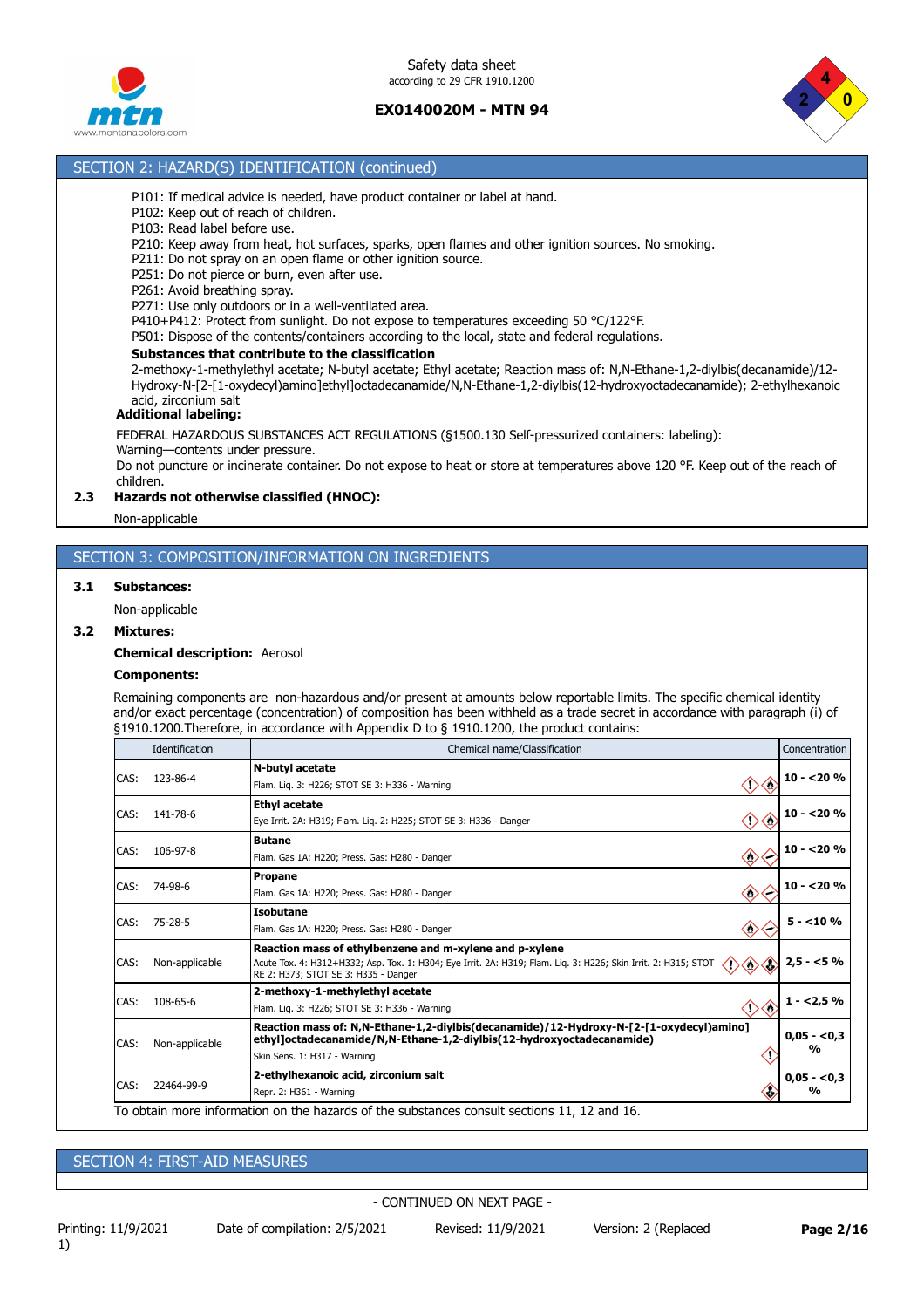



### SECTION 2: HAZARD(S) IDENTIFICATION (continued)

- P101: If medical advice is needed, have product container or label at hand.
- P102: Keep out of reach of children.
- P103: Read label before use.
- P210: Keep away from heat, hot surfaces, sparks, open flames and other ignition sources. No smoking.
- P211: Do not spray on an open flame or other ignition source.
- P251: Do not pierce or burn, even after use.
- P261: Avoid breathing spray.
- P271: Use only outdoors or in a well-ventilated area.
- P410+P412: Protect from sunlight. Do not expose to temperatures exceeding 50 °C/122°F.
- P501: Dispose of the contents/containers according to the local, state and federal regulations.

#### **Substances that contribute to the classification**

2-methoxy-1-methylethyl acetate; N-butyl acetate; Ethyl acetate; Reaction mass of: N,N-Ethane-1,2-diylbis(decanamide)/12- Hydroxy-N-[2-[1-oxydecyl)amino]ethyl]octadecanamide/N,N-Ethane-1,2-diylbis(12-hydroxyoctadecanamide); 2-ethylhexanoic acid, zirconium salt

#### **Additional labeling:**

FEDERAL HAZARDOUS SUBSTANCES ACT REGULATIONS (§1500.130 Self-pressurized containers: labeling): Warning—contents under pressure.

Do not puncture or incinerate container. Do not expose to heat or store at temperatures above 120 °F. Keep out of the reach of children.

#### **2.3 Hazards not otherwise classified (HNOC):**

Non-applicable

## SECTION 3: COMPOSITION/INFORMATION ON INGREDIENTS

#### **3.1 Substances:**

Non-applicable

#### **3.2 Mixtures:**

**Chemical description:** Aerosol

### **Components:**

Remaining components are non-hazardous and/or present at amounts below reportable limits. The specific chemical identity and/or exact percentage (concentration) of composition has been withheld as a trade secret in accordance with paragraph (i) of §1910.1200.Therefore, in accordance with Appendix D to § 1910.1200, the product contains:

| Identification | Chemical name/Classification                                                                                                                                                                                                                |                                                                                             |  |
|----------------|---------------------------------------------------------------------------------------------------------------------------------------------------------------------------------------------------------------------------------------------|---------------------------------------------------------------------------------------------|--|
| 123-86-4       | N-butyl acetate<br>Flam. Lig. 3: H226; STOT SE 3: H336 - Warning                                                                                                                                                                            | $10 - 20%$                                                                                  |  |
| 141-78-6       | <b>Ethyl acetate</b><br>◇<br>Eye Irrit. 2A: H319; Flam. Lig. 2: H225; STOT SE 3: H336 - Danger<br>0                                                                                                                                         | $10 - 20%$                                                                                  |  |
| 106-97-8       | <b>Butane</b><br>$\langle \cdot \rangle$<br>Flam. Gas 1A: H220; Press. Gas: H280 - Danger                                                                                                                                                   | $10 - 20%$                                                                                  |  |
| 74-98-6        | <b>Propane</b><br>$\langle \rangle$<br>Flam. Gas 1A: H220; Press. Gas: H280 - Danger                                                                                                                                                        | $10 - 20%$                                                                                  |  |
| $75 - 28 - 5$  | <b>Isobutane</b><br>$\langle \rangle$<br>Flam. Gas 1A: H220; Press. Gas: H280 - Danger                                                                                                                                                      | $5 - 10%$                                                                                   |  |
| Non-applicable | Reaction mass of ethylbenzene and m-xylene and p-xylene<br>◇<br>Acute Tox. 4: H312+H332; Asp. Tox. 1: H304; Eye Irrit. 2A: H319; Flam. Liq. 3: H226; Skin Irrit. 2: H315; STOT<br>$\Leftrightarrow$<br>RE 2: H373; STOT SE 3: H335 - Danger | $2,5 - 5%$                                                                                  |  |
| 108-65-6       | 2-methoxy-1-methylethyl acetate<br>Flam. Lig. 3: H226; STOT SE 3: H336 - Warning                                                                                                                                                            | $1 - 2,5%$                                                                                  |  |
| Non-applicable | Reaction mass of: N,N-Ethane-1,2-diylbis(decanamide)/12-Hydroxy-N-[2-[1-oxydecyl)amino]<br>ethyl]octadecanamide/N,N-Ethane-1,2-diylbis(12-hydroxyoctadecanamide)<br>Skin Sens. 1: H317 - Warning                                            | $0,05 - 0,3$<br>$\frac{1}{2}$                                                               |  |
| 22464-99-9     | 2-ethylhexanoic acid, zirconium salt<br>a.<br>Repr. 2: H361 - Warning                                                                                                                                                                       | $0,05 - 0,3$<br>$\frac{0}{0}$                                                               |  |
|                |                                                                                                                                                                                                                                             | To obtain more information on the hazards of the substances consult sections 11, 12 and 16. |  |

To obtain more information on the hazards of the substances consult sections 11, 12 and 16.

### SECTION 4: FIRST-AID MEASURES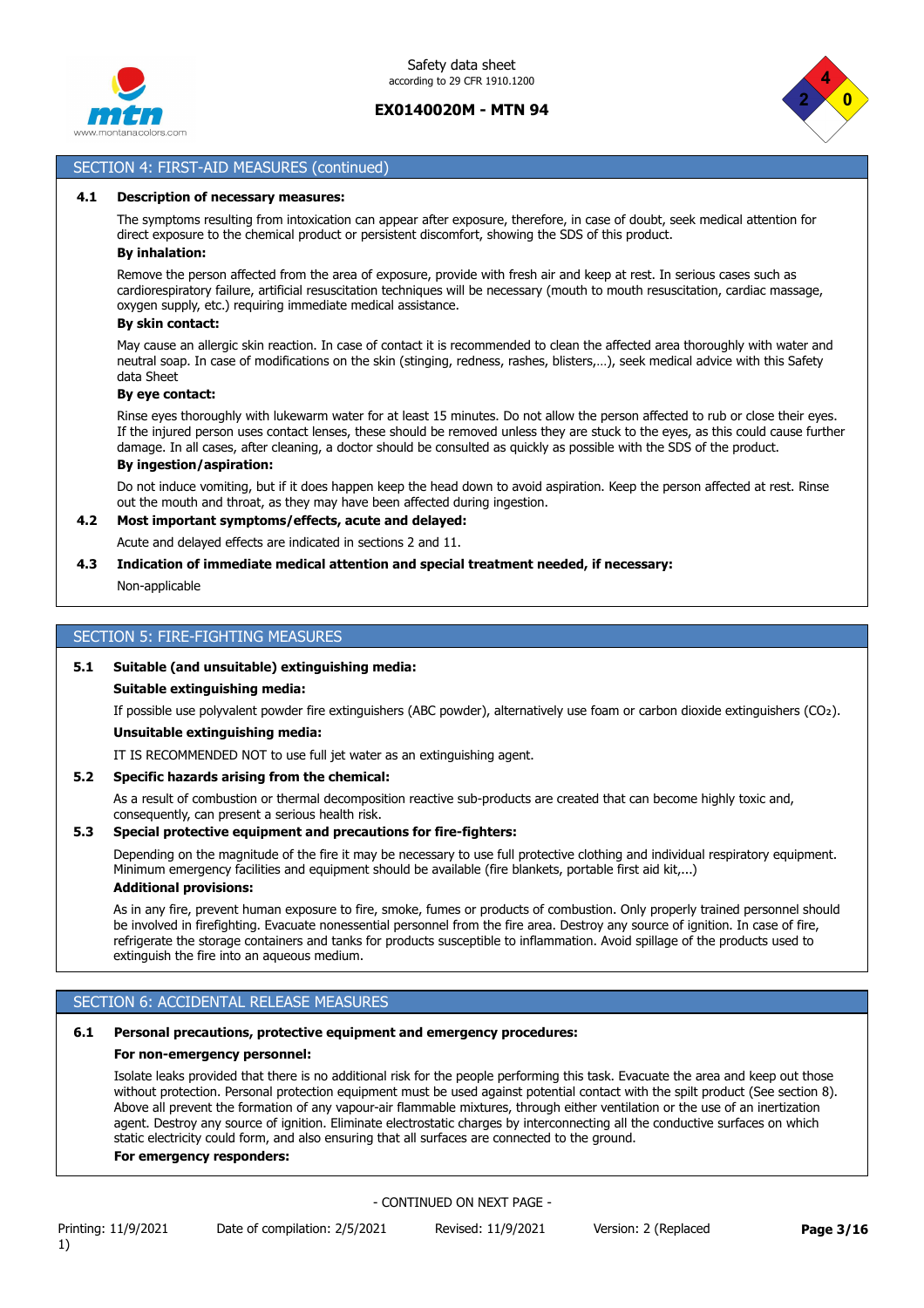



## SECTION 4: FIRST-AID MEASURES (continued)

#### **4.1 Description of necessary measures:**

The symptoms resulting from intoxication can appear after exposure, therefore, in case of doubt, seek medical attention for direct exposure to the chemical product or persistent discomfort, showing the SDS of this product. **By inhalation:**

Remove the person affected from the area of exposure, provide with fresh air and keep at rest. In serious cases such as cardiorespiratory failure, artificial resuscitation techniques will be necessary (mouth to mouth resuscitation, cardiac massage, oxygen supply, etc.) requiring immediate medical assistance.

#### **By skin contact:**

May cause an allergic skin reaction. In case of contact it is recommended to clean the affected area thoroughly with water and neutral soap. In case of modifications on the skin (stinging, redness, rashes, blisters,…), seek medical advice with this Safety data Sheet

#### **By eye contact:**

Rinse eyes thoroughly with lukewarm water for at least 15 minutes. Do not allow the person affected to rub or close their eyes. If the injured person uses contact lenses, these should be removed unless they are stuck to the eyes, as this could cause further damage. In all cases, after cleaning, a doctor should be consulted as quickly as possible with the SDS of the product.

## **By ingestion/aspiration:**

Do not induce vomiting, but if it does happen keep the head down to avoid aspiration. Keep the person affected at rest. Rinse out the mouth and throat, as they may have been affected during ingestion.

## **4.2 Most important symptoms/effects, acute and delayed:**

Acute and delayed effects are indicated in sections 2 and 11.

### **4.3 Indication of immediate medical attention and special treatment needed, if necessary:**

Non-applicable

### SECTION 5: FIRE-FIGHTING MEASURES

#### **5.1 Suitable (and unsuitable) extinguishing media:**

#### **Suitable extinguishing media:**

If possible use polyvalent powder fire extinguishers (ABC powder), alternatively use foam or carbon dioxide extinguishers (CO₂).

### **Unsuitable extinguishing media:**

IT IS RECOMMENDED NOT to use full jet water as an extinguishing agent.

### **5.2 Specific hazards arising from the chemical:**

As a result of combustion or thermal decomposition reactive sub-products are created that can become highly toxic and, consequently, can present a serious health risk.

#### **5.3 Special protective equipment and precautions for fire-fighters:**

Depending on the magnitude of the fire it may be necessary to use full protective clothing and individual respiratory equipment. Minimum emergency facilities and equipment should be available (fire blankets, portable first aid kit,...) **Additional provisions:**

#### As in any fire, prevent human exposure to fire, smoke, fumes or products of combustion. Only properly trained personnel should be involved in firefighting. Evacuate nonessential personnel from the fire area. Destroy any source of ignition. In case of fire, refrigerate the storage containers and tanks for products susceptible to inflammation. Avoid spillage of the products used to extinguish the fire into an aqueous medium.

### SECTION 6: ACCIDENTAL RELEASE MEASURES

### **6.1 Personal precautions, protective equipment and emergency procedures:**

#### **For non-emergency personnel:**

Isolate leaks provided that there is no additional risk for the people performing this task. Evacuate the area and keep out those without protection. Personal protection equipment must be used against potential contact with the spilt product (See section 8). Above all prevent the formation of any vapour-air flammable mixtures, through either ventilation or the use of an inertization agent. Destroy any source of ignition. Eliminate electrostatic charges by interconnecting all the conductive surfaces on which static electricity could form, and also ensuring that all surfaces are connected to the ground.

#### **For emergency responders:**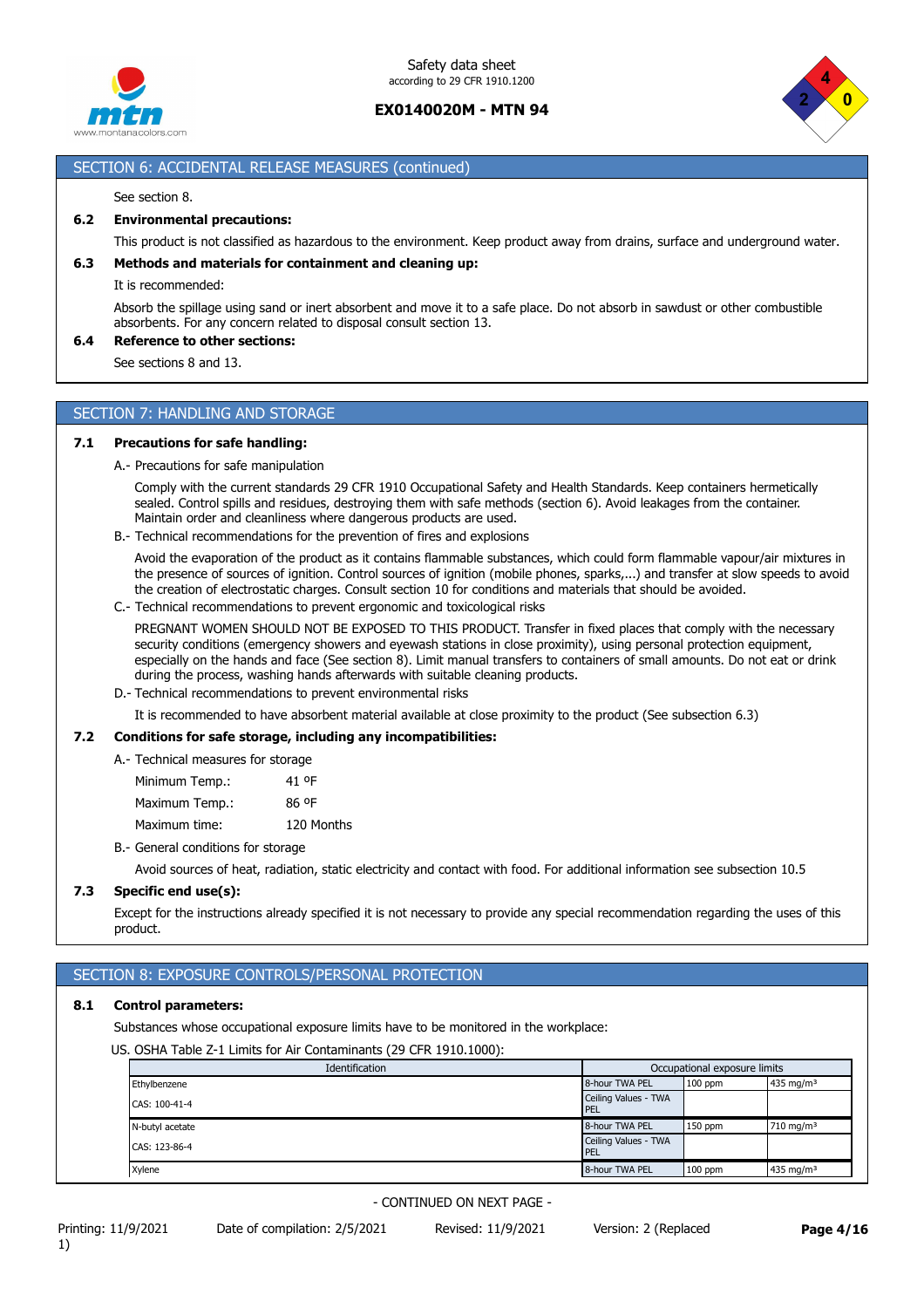



## SECTION 6: ACCIDENTAL RELEASE MEASURES (continued)

#### See section 8.

### **6.2 Environmental precautions:**

This product is not classified as hazardous to the environment. Keep product away from drains, surface and underground water.

### **6.3 Methods and materials for containment and cleaning up:**

It is recommended:

Absorb the spillage using sand or inert absorbent and move it to a safe place. Do not absorb in sawdust or other combustible absorbents. For any concern related to disposal consult section 13.

#### **6.4 Reference to other sections:**

See sections 8 and 13.

### SECTION 7: HANDLING AND STORAGE

#### **7.1 Precautions for safe handling:**

A.- Precautions for safe manipulation

Comply with the current standards 29 CFR 1910 Occupational Safety and Health Standards. Keep containers hermetically sealed. Control spills and residues, destroying them with safe methods (section 6). Avoid leakages from the container. Maintain order and cleanliness where dangerous products are used.

B.- Technical recommendations for the prevention of fires and explosions

Avoid the evaporation of the product as it contains flammable substances, which could form flammable vapour/air mixtures in the presence of sources of ignition. Control sources of ignition (mobile phones, sparks,...) and transfer at slow speeds to avoid the creation of electrostatic charges. Consult section 10 for conditions and materials that should be avoided.

C.- Technical recommendations to prevent ergonomic and toxicological risks

PREGNANT WOMEN SHOULD NOT BE EXPOSED TO THIS PRODUCT. Transfer in fixed places that comply with the necessary security conditions (emergency showers and eyewash stations in close proximity), using personal protection equipment, especially on the hands and face (See section 8). Limit manual transfers to containers of small amounts. Do not eat or drink during the process, washing hands afterwards with suitable cleaning products.

D.- Technical recommendations to prevent environmental risks

It is recommended to have absorbent material available at close proximity to the product (See subsection 6.3)

### **7.2 Conditions for safe storage, including any incompatibilities:**

A.- Technical measures for storage

Minimum Temp.: 41 ºF

| Maximum Temp.: | 86 °F |
|----------------|-------|
|----------------|-------|

Maximum time: 120 Months

B.- General conditions for storage

Avoid sources of heat, radiation, static electricity and contact with food. For additional information see subsection 10.5

### **7.3 Specific end use(s):**

Except for the instructions already specified it is not necessary to provide any special recommendation regarding the uses of this product.

# SECTION 8: EXPOSURE CONTROLS/PERSONAL PROTECTION

#### **8.1 Control parameters:**

Substances whose occupational exposure limits have to be monitored in the workplace:

US. OSHA Table Z-1 Limits for Air Contaminants (29 CFR 1910.1000):

| Identification  | Occupational exposure limits       |           |                         |
|-----------------|------------------------------------|-----------|-------------------------|
| Ethylbenzene    | 8-hour TWA PEL                     | $100$ ppm | 435 mg/m <sup>3</sup>   |
| CAS: 100-41-4   | Ceiling Values - TWA<br><b>PEL</b> |           |                         |
| N-butyl acetate | 8-hour TWA PEL                     | $150$ ppm | $710$ mg/m <sup>3</sup> |
| CAS: 123-86-4   | Ceiling Values - TWA<br><b>PEL</b> |           |                         |
| Xylene          | 8-hour TWA PEL                     | $100$ ppm | 435 mg/m <sup>3</sup>   |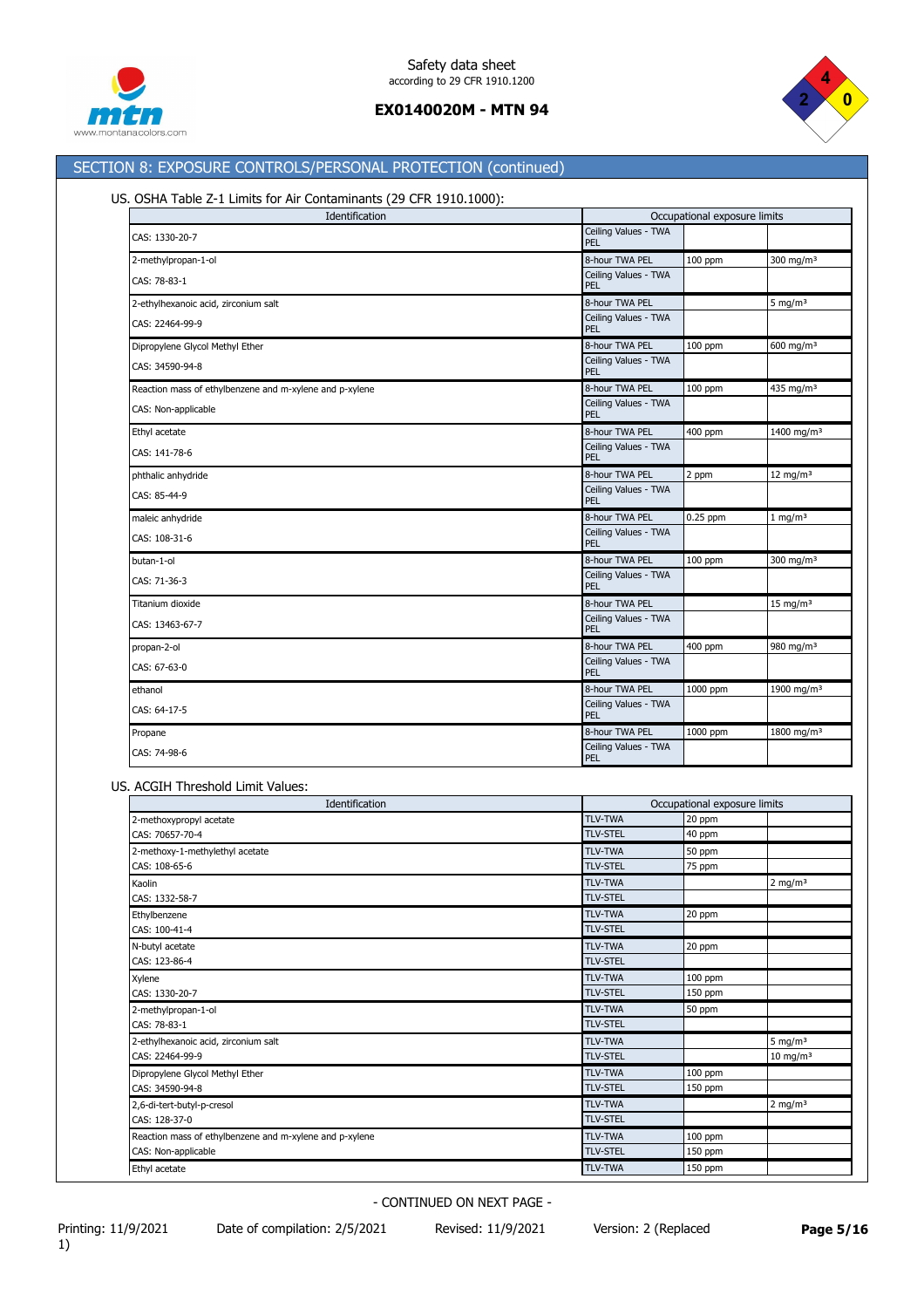



# SECTION 8: EXPOSURE CONTROLS/PERSONAL PROTECTION (continued)

# US. OSHA Table Z-1 Limits for Air Contaminants (29 CFR 1910.1000):

| Identification                                          |                             | Occupational exposure limits |                        |  |
|---------------------------------------------------------|-----------------------------|------------------------------|------------------------|--|
| CAS: 1330-20-7                                          | Ceiling Values - TWA<br>PEL |                              |                        |  |
| 2-methylpropan-1-ol                                     | 8-hour TWA PEL              | 100 ppm                      | 300 mg/m $3$           |  |
| CAS: 78-83-1                                            | Ceiling Values - TWA<br>PEL |                              |                        |  |
| 2-ethylhexanoic acid, zirconium salt                    | 8-hour TWA PEL              |                              | 5 mg/m $3$             |  |
| CAS: 22464-99-9                                         | Ceiling Values - TWA<br>PEL |                              |                        |  |
| Dipropylene Glycol Methyl Ether                         | 8-hour TWA PEL              | 100 ppm                      | $600 \text{ mg/m}^3$   |  |
| CAS: 34590-94-8                                         | Ceiling Values - TWA<br>PEL |                              |                        |  |
| Reaction mass of ethylbenzene and m-xylene and p-xylene | 8-hour TWA PEL              | 100 ppm                      | 435 mg/m <sup>3</sup>  |  |
| CAS: Non-applicable                                     | Ceiling Values - TWA<br>PEL |                              |                        |  |
| Ethyl acetate                                           | 8-hour TWA PEL              | 400 ppm                      | 1400 mg/m <sup>3</sup> |  |
| CAS: 141-78-6                                           | Ceiling Values - TWA<br>PEL |                              |                        |  |
| phthalic anhydride                                      | 8-hour TWA PEL              | 2 ppm                        | 12 mg/m $3$            |  |
| CAS: 85-44-9                                            | Ceiling Values - TWA<br>PEL |                              |                        |  |
| maleic anhydride                                        | 8-hour TWA PEL              | $0.25$ ppm                   | $1$ mg/m <sup>3</sup>  |  |
| CAS: 108-31-6                                           | Ceiling Values - TWA<br>PEL |                              |                        |  |
| butan-1-ol                                              | 8-hour TWA PEL              | 100 ppm                      | 300 mg/m $3$           |  |
| CAS: 71-36-3                                            | Ceiling Values - TWA<br>PEL |                              |                        |  |
| Titanium dioxide                                        | 8-hour TWA PEL              |                              | $15 \text{ mg/m}^3$    |  |
| CAS: 13463-67-7                                         | Ceiling Values - TWA<br>PEL |                              |                        |  |
| propan-2-ol                                             | 8-hour TWA PEL              | 400 ppm                      | 980 mg/m <sup>3</sup>  |  |
| CAS: 67-63-0                                            | Ceiling Values - TWA<br>PEL |                              |                        |  |
| ethanol                                                 | 8-hour TWA PEL              | 1000 ppm                     | 1900 mg/m <sup>3</sup> |  |
| CAS: 64-17-5                                            | Ceiling Values - TWA<br>PEL |                              |                        |  |
| Propane                                                 | 8-hour TWA PEL              | 1000 ppm                     | 1800 mg/m <sup>3</sup> |  |
| CAS: 74-98-6                                            | Ceiling Values - TWA<br>PEL |                              |                        |  |

### US. ACGIH Threshold Limit Values:

| Identification                                          |                 | Occupational exposure limits |                     |  |
|---------------------------------------------------------|-----------------|------------------------------|---------------------|--|
| 2-methoxypropyl acetate                                 | <b>TLV-TWA</b>  | 20 ppm                       |                     |  |
| CAS: 70657-70-4                                         | <b>TLV-STEL</b> | 40 ppm                       |                     |  |
| 2-methoxy-1-methylethyl acetate                         | <b>TLV-TWA</b>  | 50 ppm                       |                     |  |
| CAS: 108-65-6                                           | <b>TLV-STEL</b> | 75 ppm                       |                     |  |
| Kaolin                                                  | <b>TLV-TWA</b>  |                              | $2 \text{ mg/m}^3$  |  |
| CAS: 1332-58-7                                          | <b>TLV-STEL</b> |                              |                     |  |
| Ethylbenzene                                            | <b>TLV-TWA</b>  | 20 ppm                       |                     |  |
| CAS: 100-41-4                                           | <b>TLV-STEL</b> |                              |                     |  |
| N-butyl acetate                                         | <b>TLV-TWA</b>  | 20 ppm                       |                     |  |
| CAS: 123-86-4                                           | <b>TLV-STEL</b> |                              |                     |  |
| Xylene                                                  | <b>TLV-TWA</b>  | 100 ppm                      |                     |  |
| CAS: 1330-20-7                                          | <b>TLV-STEL</b> | 150 ppm                      |                     |  |
| 2-methylpropan-1-ol                                     | <b>TLV-TWA</b>  | 50 ppm                       |                     |  |
| CAS: 78-83-1                                            | <b>TLV-STEL</b> |                              |                     |  |
| 2-ethylhexanoic acid, zirconium salt                    | <b>TLV-TWA</b>  |                              | 5 mg/m $3$          |  |
| CAS: 22464-99-9                                         | <b>TLV-STEL</b> |                              | $10 \text{ mg/m}^3$ |  |
| Dipropylene Glycol Methyl Ether                         | <b>TLV-TWA</b>  | 100 ppm                      |                     |  |
| CAS: 34590-94-8                                         | <b>TLV-STEL</b> | 150 ppm                      |                     |  |
| 2,6-di-tert-butyl-p-cresol                              | <b>TLV-TWA</b>  |                              | 2 mg/m $3$          |  |
| CAS: 128-37-0                                           | <b>TLV-STEL</b> |                              |                     |  |
| Reaction mass of ethylbenzene and m-xylene and p-xylene | <b>TLV-TWA</b>  | 100 ppm                      |                     |  |
| CAS: Non-applicable                                     | <b>TLV-STEL</b> | 150 ppm                      |                     |  |
| Ethyl acetate                                           | <b>TLV-TWA</b>  | 150 ppm                      |                     |  |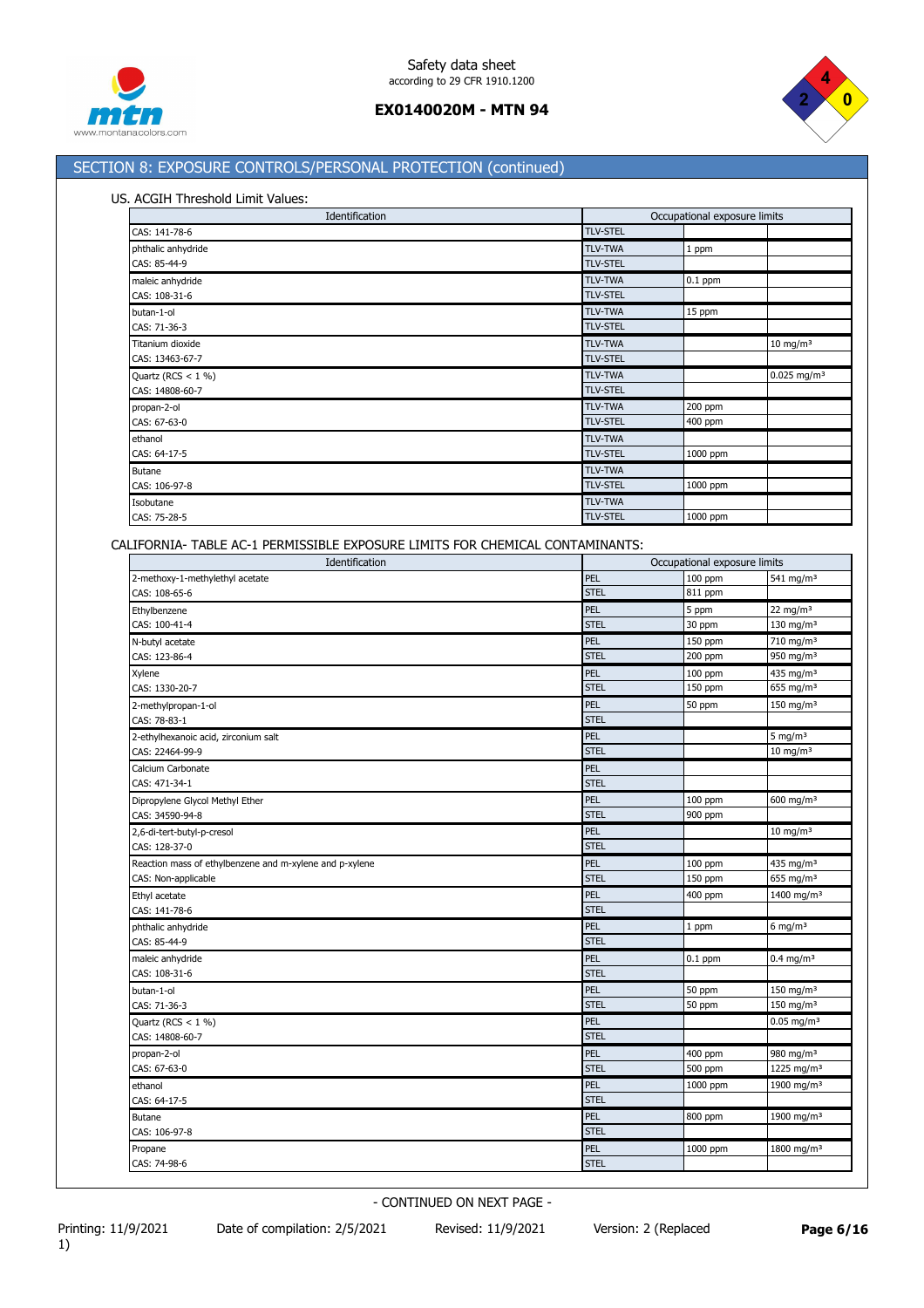



# SECTION 8: EXPOSURE CONTROLS/PERSONAL PROTECTION (continued)

### US. ACGIH Threshold Limit Values:

| Identification       | Occupational exposure limits |           |                           |
|----------------------|------------------------------|-----------|---------------------------|
| CAS: 141-78-6        | <b>TLV-STEL</b>              |           |                           |
| phthalic anhydride   | <b>TLV-TWA</b>               | 1 ppm     |                           |
| CAS: 85-44-9         | <b>TLV-STEL</b>              |           |                           |
| maleic anhydride     | <b>TLV-TWA</b>               | $0.1$ ppm |                           |
| CAS: 108-31-6        | <b>TLV-STEL</b>              |           |                           |
| butan-1-ol           | <b>TLV-TWA</b>               | 15 ppm    |                           |
| CAS: 71-36-3         | <b>TLV-STEL</b>              |           |                           |
| Titanium dioxide     | <b>TLV-TWA</b>               |           | $10 \text{ mg/m}^3$       |
| CAS: 13463-67-7      | <b>TLV-STEL</b>              |           |                           |
| Quartz (RCS $<$ 1 %) | <b>TLV-TWA</b>               |           | $0.025$ mg/m <sup>3</sup> |
| CAS: 14808-60-7      | <b>TLV-STEL</b>              |           |                           |
| propan-2-ol          | <b>TLV-TWA</b>               | 200 ppm   |                           |
| CAS: 67-63-0         | <b>TLV-STEL</b>              | 400 ppm   |                           |
| ethanol              | <b>TLV-TWA</b>               |           |                           |
| CAS: 64-17-5         | <b>TLV-STEL</b>              | 1000 ppm  |                           |
| <b>Butane</b>        | <b>TLV-TWA</b>               |           |                           |
| CAS: 106-97-8        | <b>TLV-STEL</b>              | 1000 ppm  |                           |
| Isobutane            | <b>TLV-TWA</b>               |           |                           |
| CAS: 75-28-5         | <b>TLV-STEL</b>              | 1000 ppm  |                           |

CALIFORNIA- TABLE AC-1 PERMISSIBLE EXPOSURE LIMITS FOR CHEMICAL CONTAMINANTS:

| Identification                                          | Occupational exposure limits |           |                          |
|---------------------------------------------------------|------------------------------|-----------|--------------------------|
| 2-methoxy-1-methylethyl acetate                         | PEL                          | 100 ppm   | 541 mg/m <sup>3</sup>    |
| CAS: 108-65-6                                           | <b>STEL</b>                  | 811 ppm   |                          |
| Ethylbenzene                                            | PEL                          | 5 ppm     | 22 mg/m $3$              |
| CAS: 100-41-4                                           | <b>STEL</b>                  | 30 ppm    | 130 mg/m <sup>3</sup>    |
| N-butyl acetate                                         | PEL                          | 150 ppm   | 710 mg/m <sup>3</sup>    |
| CAS: 123-86-4                                           | <b>STEL</b>                  | 200 ppm   | 950 mg/m <sup>3</sup>    |
| Xylene                                                  | PEL                          | 100 ppm   | 435 mg/m <sup>3</sup>    |
| CAS: 1330-20-7                                          | <b>STEL</b>                  | 150 ppm   | 655 mg/m <sup>3</sup>    |
| 2-methylpropan-1-ol                                     | PEL                          | 50 ppm    | 150 mg/m $3$             |
| CAS: 78-83-1                                            | <b>STEL</b>                  |           |                          |
| 2-ethylhexanoic acid, zirconium salt                    | PEL                          |           | 5 mg/m $3$               |
| CAS: 22464-99-9                                         | <b>STEL</b>                  |           | $10 \text{ mg/m}^3$      |
| Calcium Carbonate                                       | PEL                          |           |                          |
| CAS: 471-34-1                                           | <b>STEL</b>                  |           |                          |
| Dipropylene Glycol Methyl Ether                         | PEL                          | $100$ ppm | 600 mg/m $3$             |
| CAS: 34590-94-8                                         | <b>STEL</b>                  | 900 ppm   |                          |
| 2,6-di-tert-butyl-p-cresol                              | PEL                          |           | $10$ mg/m <sup>3</sup>   |
| CAS: 128-37-0                                           | <b>STEL</b>                  |           |                          |
| Reaction mass of ethylbenzene and m-xylene and p-xylene | PEL                          | 100 ppm   | 435 mg/m <sup>3</sup>    |
| CAS: Non-applicable                                     | <b>STEL</b>                  | 150 ppm   | 655 mg/m <sup>3</sup>    |
| Ethyl acetate                                           | PEL                          | 400 ppm   | 1400 mg/m <sup>3</sup>   |
| CAS: 141-78-6                                           | <b>STEL</b>                  |           |                          |
| phthalic anhydride                                      | PEL                          | 1 ppm     | $6$ mg/m <sup>3</sup>    |
| CAS: 85-44-9                                            | <b>STEL</b>                  |           |                          |
| maleic anhydride                                        | PEL                          | $0.1$ ppm | $0.4$ mg/m <sup>3</sup>  |
| CAS: 108-31-6                                           | <b>STEL</b>                  |           |                          |
| butan-1-ol                                              | PEL                          | 50 ppm    | $150 \text{ mg/m}^3$     |
| CAS: 71-36-3                                            | <b>STEL</b>                  | 50 ppm    | 150 mg/m <sup>3</sup>    |
| Quartz (RCS $<$ 1 %)                                    | PEL                          |           | $0.05$ mg/m <sup>3</sup> |
| CAS: 14808-60-7                                         | <b>STEL</b>                  |           |                          |
| propan-2-ol                                             | PEL                          | 400 ppm   | 980 mg/m <sup>3</sup>    |
| CAS: 67-63-0                                            | <b>STEL</b>                  | 500 ppm   | 1225 mg/m <sup>3</sup>   |
| ethanol                                                 | PEL                          | 1000 ppm  | 1900 mg/m <sup>3</sup>   |
| CAS: 64-17-5                                            | <b>STEL</b>                  |           |                          |
| Butane                                                  | PEL                          | 800 ppm   | 1900 mg/m <sup>3</sup>   |
| CAS: 106-97-8                                           | <b>STEL</b>                  |           |                          |
| Propane                                                 | PEL                          | 1000 ppm  | 1800 mg/m <sup>3</sup>   |
| CAS: 74-98-6                                            | <b>STEL</b>                  |           |                          |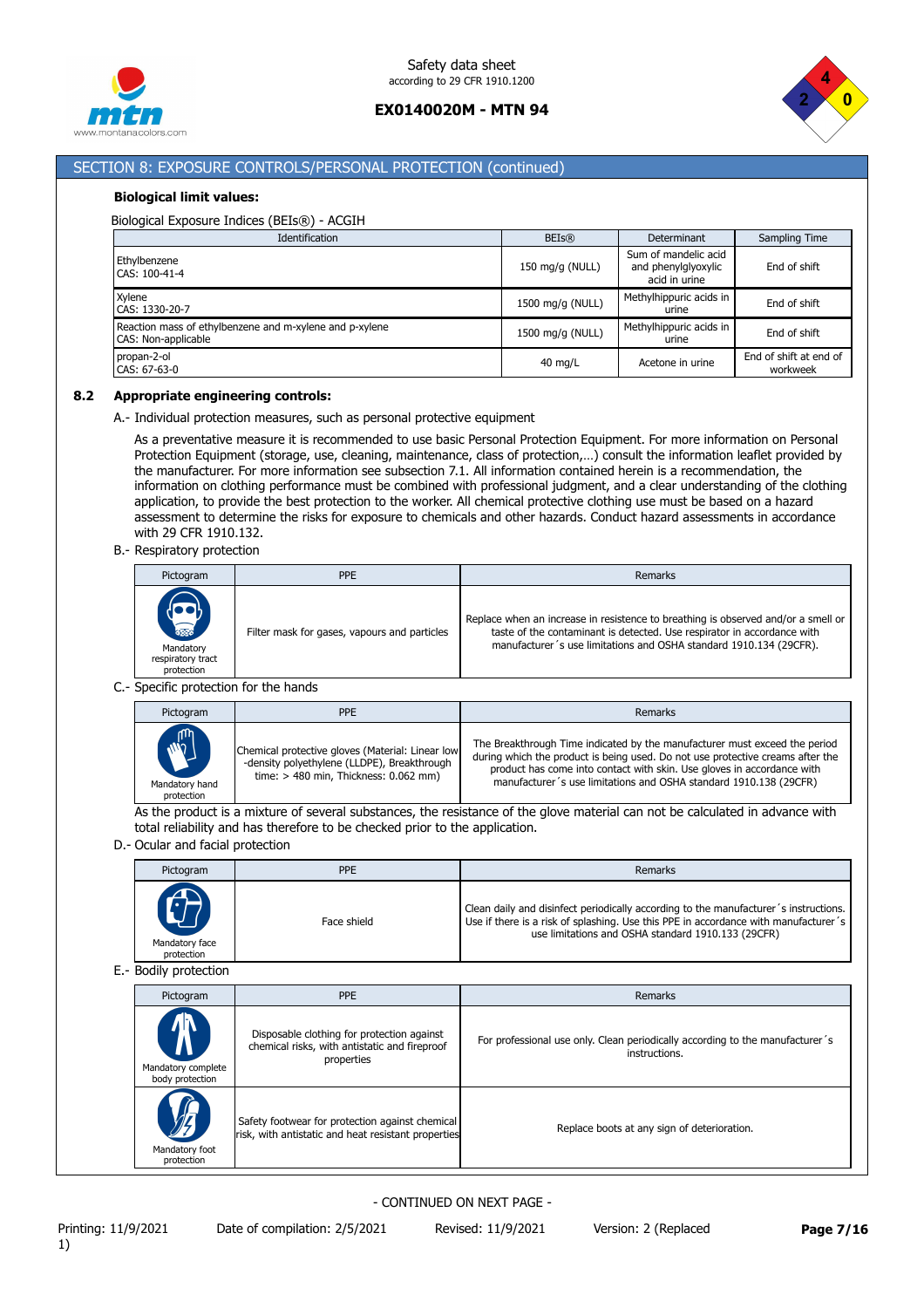



# SECTION 8: EXPOSURE CONTROLS/PERSONAL PROTECTION (continued)

#### **Biological limit values:**

#### Biological Exposure Indices (BEIs®) - ACGIH

| Identification                                                                 | <b>BEIs®</b>      | Determinant                                                  | <b>Sampling Time</b>               |
|--------------------------------------------------------------------------------|-------------------|--------------------------------------------------------------|------------------------------------|
| Ethylbenzene<br>CAS: 100-41-4                                                  | 150 mg/g (NULL)   | Sum of mandelic acid<br>and phenylglyoxylic<br>acid in urine | End of shift                       |
| Xylene<br>CAS: 1330-20-7                                                       | 1500 mg/g (NULL)  | Methylhippuric acids in<br>urine                             | End of shift                       |
| Reaction mass of ethylbenzene and m-xylene and p-xylene<br>CAS: Non-applicable | 1500 mg/g (NULL)  | Methylhippuric acids in<br>urine                             | End of shift                       |
| propan-2-ol<br>CAS: 67-63-0                                                    | $40 \text{ mg/L}$ | Acetone in urine                                             | End of shift at end of<br>workweek |

#### **8.2 Appropriate engineering controls:**

A.- Individual protection measures, such as personal protective equipment

As a preventative measure it is recommended to use basic Personal Protection Equipment. For more information on Personal Protection Equipment (storage, use, cleaning, maintenance, class of protection,…) consult the information leaflet provided by the manufacturer. For more information see subsection 7.1. All information contained herein is a recommendation, the information on clothing performance must be combined with professional judgment, and a clear understanding of the clothing application, to provide the best protection to the worker. All chemical protective clothing use must be based on a hazard assessment to determine the risks for exposure to chemicals and other hazards. Conduct hazard assessments in accordance with 29 CFR 1910.132.

B.- Respiratory protection

| Pictogram                                                      | PPE                                          | Remarks                                                                                                                                                                                                                            |
|----------------------------------------------------------------|----------------------------------------------|------------------------------------------------------------------------------------------------------------------------------------------------------------------------------------------------------------------------------------|
| <b>READERS</b><br>Mandatory<br>respiratory tract<br>protection | Filter mask for gases, vapours and particles | Replace when an increase in resistence to breathing is observed and/or a smell or<br>taste of the contaminant is detected. Use respirator in accordance with<br>manufacturer's use limitations and OSHA standard 1910.134 (29CFR). |

### C.- Specific protection for the hands

| Pictogram                                     | <b>PPE</b>                                                                                                                                 | Remarks                                                                                                                                                                                                                                                                                                     |
|-----------------------------------------------|--------------------------------------------------------------------------------------------------------------------------------------------|-------------------------------------------------------------------------------------------------------------------------------------------------------------------------------------------------------------------------------------------------------------------------------------------------------------|
| <b>MARITA</b><br>Mandatory hand<br>protection | Chemical protective gloves (Material: Linear low<br>-density polyethylene (LLDPE), Breakthrough<br>time: $> 480$ min, Thickness: 0.062 mm) | The Breakthrough Time indicated by the manufacturer must exceed the period<br>during which the product is being used. Do not use protective creams after the<br>product has come into contact with skin. Use gloves in accordance with<br>manufacturer's use limitations and OSHA standard 1910.138 (29CFR) |

As the product is a mixture of several substances, the resistance of the glove material can not be calculated in advance with total reliability and has therefore to be checked prior to the application.

#### D.- Ocular and facial protection

| Pictogram                    | <b>PPE</b>  | Remarks                                                                                                                                                                                                                           |
|------------------------------|-------------|-----------------------------------------------------------------------------------------------------------------------------------------------------------------------------------------------------------------------------------|
| Mandatory face<br>protection | Face shield | Clean daily and disinfect periodically according to the manufacturer's instructions.<br>Use if there is a risk of splashing. Use this PPE in accordance with manufacturer's<br>use limitations and OSHA standard 1910.133 (29CFR) |

#### E.- Bodily protection

| Pictogram                                              | <b>PPE</b>                                                                                                | Remarks                                                                                        |
|--------------------------------------------------------|-----------------------------------------------------------------------------------------------------------|------------------------------------------------------------------------------------------------|
| <mark></mark><br>Mandatory complete<br>body protection | Disposable clothing for protection against<br>chemical risks, with antistatic and fireproof<br>properties | For professional use only. Clean periodically according to the manufacturer's<br>instructions. |
| $\sqrt{\zeta}$<br>Mandatory foot<br>protection         | Safety footwear for protection against chemical<br>risk, with antistatic and heat resistant properties    | Replace boots at any sign of deterioration.                                                    |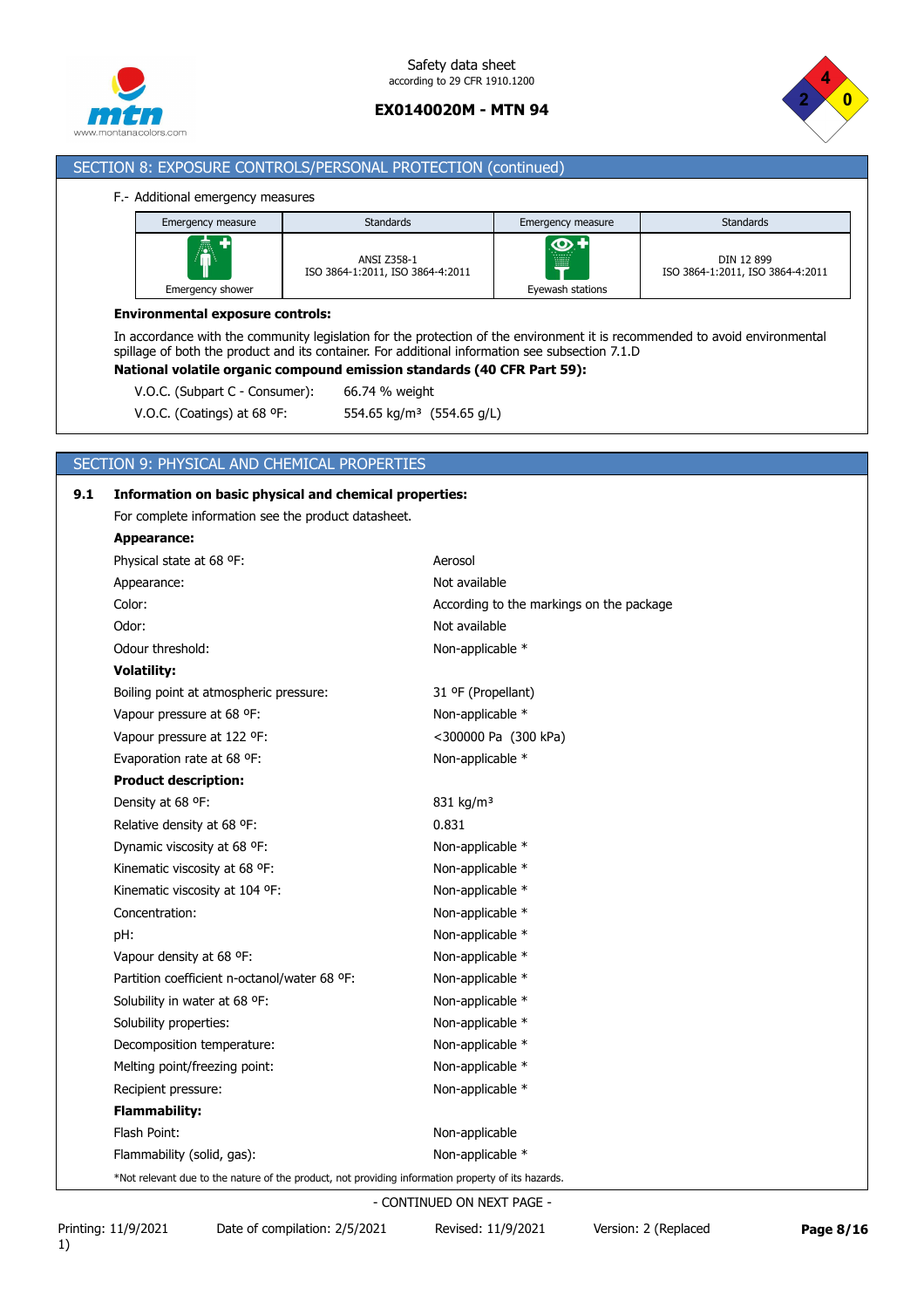



## SECTION 8: EXPOSURE CONTROLS/PERSONAL PROTECTION (continued)

#### F.- Additional emergency measures

| Emergency measure     | <b>Standards</b>                                       | Emergency measure                       | <b>Standards</b>                               |
|-----------------------|--------------------------------------------------------|-----------------------------------------|------------------------------------------------|
| Â<br>Emergency shower | <b>ANSI Z358-1</b><br>ISO 3864-1:2011, ISO 3864-4:2011 | $\bullet$<br>.<br>▦<br>Eyewash stations | DIN 12 899<br>ISO 3864-1:2011, ISO 3864-4:2011 |

### **Environmental exposure controls:**

In accordance with the community legislation for the protection of the environment it is recommended to avoid environmental spillage of both the product and its container. For additional information see subsection 7.1.D

**National volatile organic compound emission standards (40 CFR Part 59):**

V.O.C. (Subpart C - Consumer): 66.74 % weight

V.O.C. (Coatings) at 68 ºF: 554.65 kg/m³ (554.65 g/L)

## SECTION 9: PHYSICAL AND CHEMICAL PROPERTIES

### **9.1 Information on basic physical and chemical properties:**

For complete information see the product datasheet.

| Appearance:                                                                                        |                                          |
|----------------------------------------------------------------------------------------------------|------------------------------------------|
| Physical state at 68 °F:                                                                           | Aerosol                                  |
| Appearance:                                                                                        | Not available                            |
| Color:                                                                                             | According to the markings on the package |
| Odor:                                                                                              | Not available                            |
| Odour threshold:                                                                                   | Non-applicable *                         |
| <b>Volatility:</b>                                                                                 |                                          |
| Boiling point at atmospheric pressure:                                                             | 31 ºF (Propellant)                       |
| Vapour pressure at 68 °F:                                                                          | Non-applicable *                         |
| Vapour pressure at 122 °F:                                                                         | <300000 Pa (300 kPa)                     |
| Evaporation rate at 68 °F:                                                                         | Non-applicable *                         |
| <b>Product description:</b>                                                                        |                                          |
| Density at 68 °F:                                                                                  | 831 kg/m <sup>3</sup>                    |
| Relative density at 68 °F:                                                                         | 0.831                                    |
| Dynamic viscosity at 68 °F:                                                                        | Non-applicable *                         |
| Kinematic viscosity at 68 °F:                                                                      | Non-applicable *                         |
| Kinematic viscosity at 104 °F:                                                                     | Non-applicable *                         |
| Concentration:                                                                                     | Non-applicable *                         |
| pH:                                                                                                | Non-applicable *                         |
| Vapour density at 68 °F:                                                                           | Non-applicable *                         |
| Partition coefficient n-octanol/water 68 °F:                                                       | Non-applicable *                         |
| Solubility in water at 68 °F:                                                                      | Non-applicable *                         |
| Solubility properties:                                                                             | Non-applicable *                         |
| Decomposition temperature:                                                                         | Non-applicable *                         |
| Melting point/freezing point:                                                                      | Non-applicable *                         |
| Recipient pressure:                                                                                | Non-applicable *                         |
| <b>Flammability:</b>                                                                               |                                          |
| Flash Point:                                                                                       | Non-applicable                           |
| Flammability (solid, gas):                                                                         | Non-applicable *                         |
| *Not relevant due to the nature of the product, not providing information property of its hazards. |                                          |

- CONTINUED ON NEXT PAGE -

Printing: 11/9/2021 Date of compilation: 2/5/2021 Revised: 11/9/2021 Version: 2 (Replaced **Page 8/16**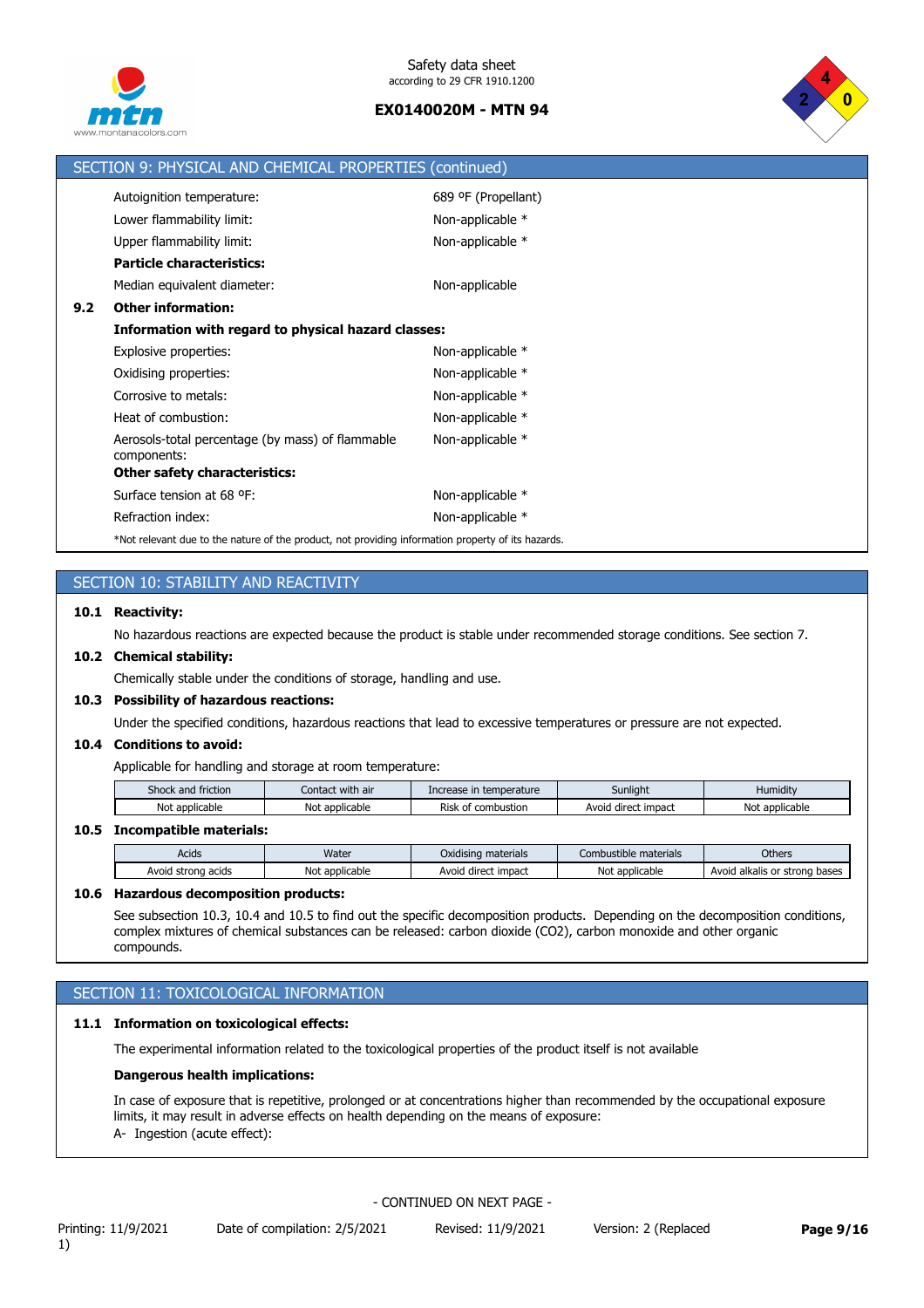



|     | SECTION 9: PHYSICAL AND CHEMICAL PROPERTIES (continued)                                            |                     |
|-----|----------------------------------------------------------------------------------------------------|---------------------|
|     | Autoignition temperature:                                                                          | 689 ºF (Propellant) |
|     | Lower flammability limit:                                                                          | Non-applicable *    |
|     | Upper flammability limit:                                                                          | Non-applicable *    |
|     | <b>Particle characteristics:</b>                                                                   |                     |
|     | Median equivalent diameter:                                                                        | Non-applicable      |
| 9.2 | <b>Other information:</b>                                                                          |                     |
|     | Information with regard to physical hazard classes:                                                |                     |
|     | Explosive properties:                                                                              | Non-applicable $*$  |
|     | Oxidising properties:                                                                              | Non-applicable *    |
|     | Corrosive to metals:                                                                               | Non-applicable *    |
|     | Heat of combustion:                                                                                | Non-applicable *    |
|     | Aerosols-total percentage (by mass) of flammable<br>components:                                    | Non-applicable *    |
|     | Other safety characteristics:                                                                      |                     |
|     | Surface tension at 68 °F:                                                                          | Non-applicable *    |
|     | Refraction index:                                                                                  | Non-applicable *    |
|     | *Not relevant due to the nature of the product, not providing information property of its hazards. |                     |

## SECTION 10: STABILITY AND REACTIVITY

### **10.1 Reactivity:**

No hazardous reactions are expected because the product is stable under recommended storage conditions. See section 7.

## **10.2 Chemical stability:**

Chemically stable under the conditions of storage, handling and use.

### **10.3 Possibility of hazardous reactions:**

Under the specified conditions, hazardous reactions that lead to excessive temperatures or pressure are not expected.

#### **10.4 Conditions to avoid:**

Applicable for handling and storage at room temperature:

| and friction :<br>shock | $\cdots$<br>with air<br>Contact | temperature<br>Increase         | $\cdots$<br>Sunlight          | .<br>Humidity       |
|-------------------------|---------------------------------|---------------------------------|-------------------------------|---------------------|
| No<br>: applicable      | : applicable<br>Nο              | <b>Rish</b><br>combustion<br>ot | t impact<br>Avoia<br>' direct | Not<br>* applicable |

### **10.5 Incompatible materials:**

| Acids                    | Water               | Oxidising materials    | Combi<br>ustible materials | <b>Others</b>                            |
|--------------------------|---------------------|------------------------|----------------------------|------------------------------------------|
| Avoid<br>strona<br>acids | Not<br>: applicable | impact<br>Avoid direct | Not<br>* applicable        | bases<br>Avoid alkalis<br>: strona<br>or |

### **10.6 Hazardous decomposition products:**

See subsection 10.3, 10.4 and 10.5 to find out the specific decomposition products. Depending on the decomposition conditions, complex mixtures of chemical substances can be released: carbon dioxide (CO2), carbon monoxide and other organic compounds.

# SECTION 11: TOXICOLOGICAL INFORMATION

### **11.1 Information on toxicological effects:**

The experimental information related to the toxicological properties of the product itself is not available

#### **Dangerous health implications:**

In case of exposure that is repetitive, prolonged or at concentrations higher than recommended by the occupational exposure limits, it may result in adverse effects on health depending on the means of exposure: A- Ingestion (acute effect):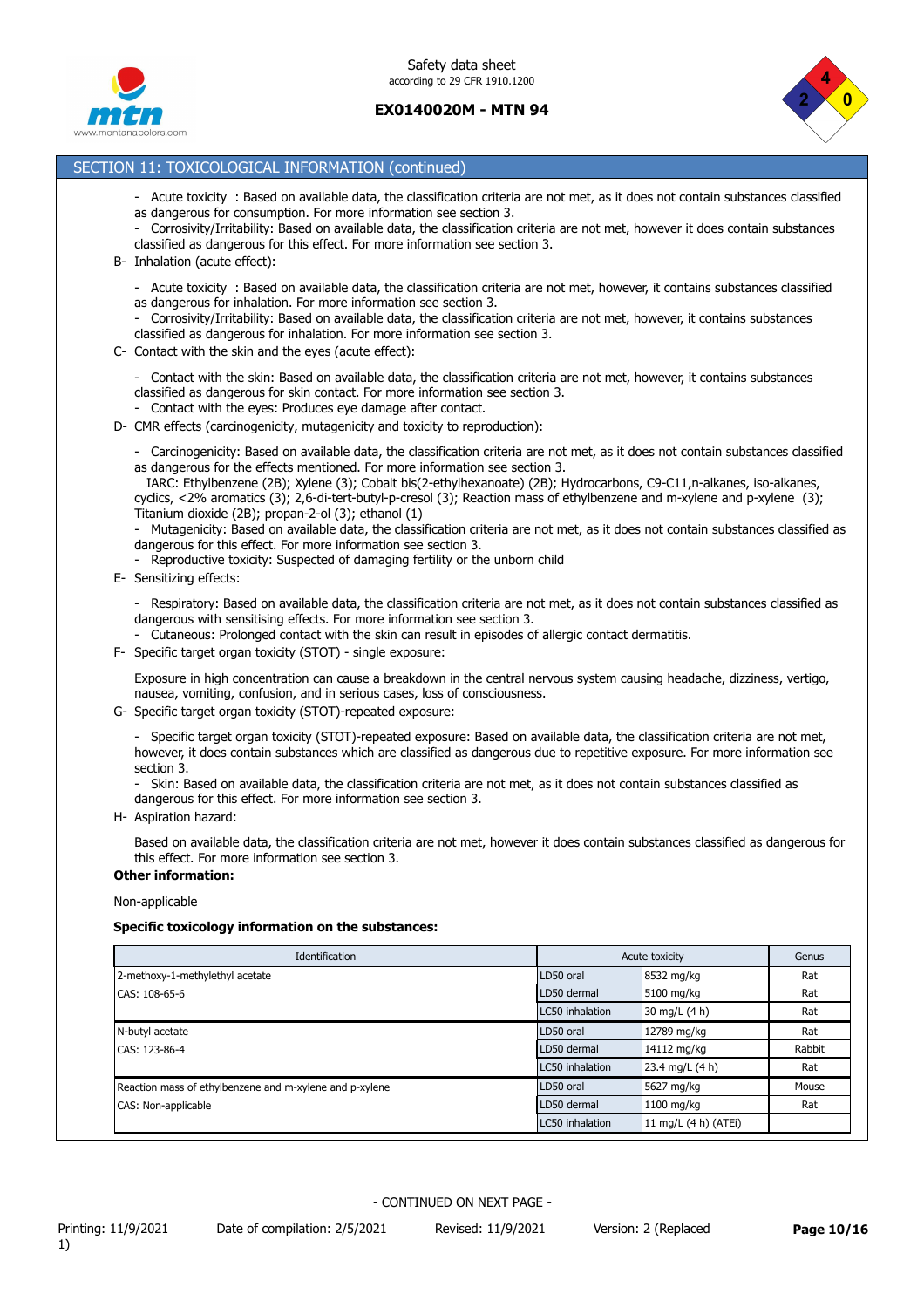



## SECTION 11: TOXICOLOGICAL INFORMATION (continued)

- Acute toxicity : Based on available data, the classification criteria are not met, as it does not contain substances classified as dangerous for consumption. For more information see section 3.
- Corrosivity/Irritability: Based on available data, the classification criteria are not met, however it does contain substances classified as dangerous for this effect. For more information see section 3.
- B- Inhalation (acute effect):
	- Acute toxicity : Based on available data, the classification criteria are not met, however, it contains substances classified as dangerous for inhalation. For more information see section 3.
	- Corrosivity/Irritability: Based on available data, the classification criteria are not met, however, it contains substances classified as dangerous for inhalation. For more information see section 3.
- C- Contact with the skin and the eyes (acute effect):
	- Contact with the skin: Based on available data, the classification criteria are not met, however, it contains substances classified as dangerous for skin contact. For more information see section 3.
	- Contact with the eyes: Produces eye damage after contact.
- D- CMR effects (carcinogenicity, mutagenicity and toxicity to reproduction):
	- Carcinogenicity: Based on available data, the classification criteria are not met, as it does not contain substances classified as dangerous for the effects mentioned. For more information see section 3.

 IARC: Ethylbenzene (2B); Xylene (3); Cobalt bis(2-ethylhexanoate) (2B); Hydrocarbons, C9-C11,n-alkanes, iso-alkanes, cyclics, <2% aromatics (3); 2,6-di-tert-butyl-p-cresol (3); Reaction mass of ethylbenzene and m-xylene and p-xylene (3); Titanium dioxide (2B); propan-2-ol (3); ethanol (1)

- Mutagenicity: Based on available data, the classification criteria are not met, as it does not contain substances classified as dangerous for this effect. For more information see section 3.
- Reproductive toxicity: Suspected of damaging fertility or the unborn child

E- Sensitizing effects:

- Respiratory: Based on available data, the classification criteria are not met, as it does not contain substances classified as dangerous with sensitising effects. For more information see section 3.

- Cutaneous: Prolonged contact with the skin can result in episodes of allergic contact dermatitis.
- F- Specific target organ toxicity (STOT) single exposure:

Exposure in high concentration can cause a breakdown in the central nervous system causing headache, dizziness, vertigo, nausea, vomiting, confusion, and in serious cases, loss of consciousness.

G- Specific target organ toxicity (STOT)-repeated exposure:

- Specific target organ toxicity (STOT)-repeated exposure: Based on available data, the classification criteria are not met, however, it does contain substances which are classified as dangerous due to repetitive exposure. For more information see section 3.

- Skin: Based on available data, the classification criteria are not met, as it does not contain substances classified as dangerous for this effect. For more information see section 3.

H- Aspiration hazard:

Based on available data, the classification criteria are not met, however it does contain substances classified as dangerous for this effect. For more information see section 3.

### **Other information:**

Non-applicable

#### **Specific toxicology information on the substances:**

| Identification                                          | Acute toxicity  |                      | Genus  |
|---------------------------------------------------------|-----------------|----------------------|--------|
| 2-methoxy-1-methylethyl acetate                         | LD50 oral       | 8532 mg/kg           | Rat    |
| CAS: 108-65-6                                           | LD50 dermal     | 5100 mg/kg           | Rat    |
|                                                         | LC50 inhalation | 30 mg/L (4 h)        | Rat    |
| N-butyl acetate                                         | LD50 oral       | 12789 mg/kg          | Rat    |
| CAS: 123-86-4                                           | LD50 dermal     | 14112 mg/kg          | Rabbit |
|                                                         | LC50 inhalation | 23.4 mg/L (4 h)      | Rat    |
| Reaction mass of ethylbenzene and m-xylene and p-xylene | LD50 oral       | 5627 mg/kg           | Mouse  |
| CAS: Non-applicable                                     | LD50 dermal     | 1100 mg/kg           | Rat    |
|                                                         | LC50 inhalation | 11 mg/L (4 h) (ATEi) |        |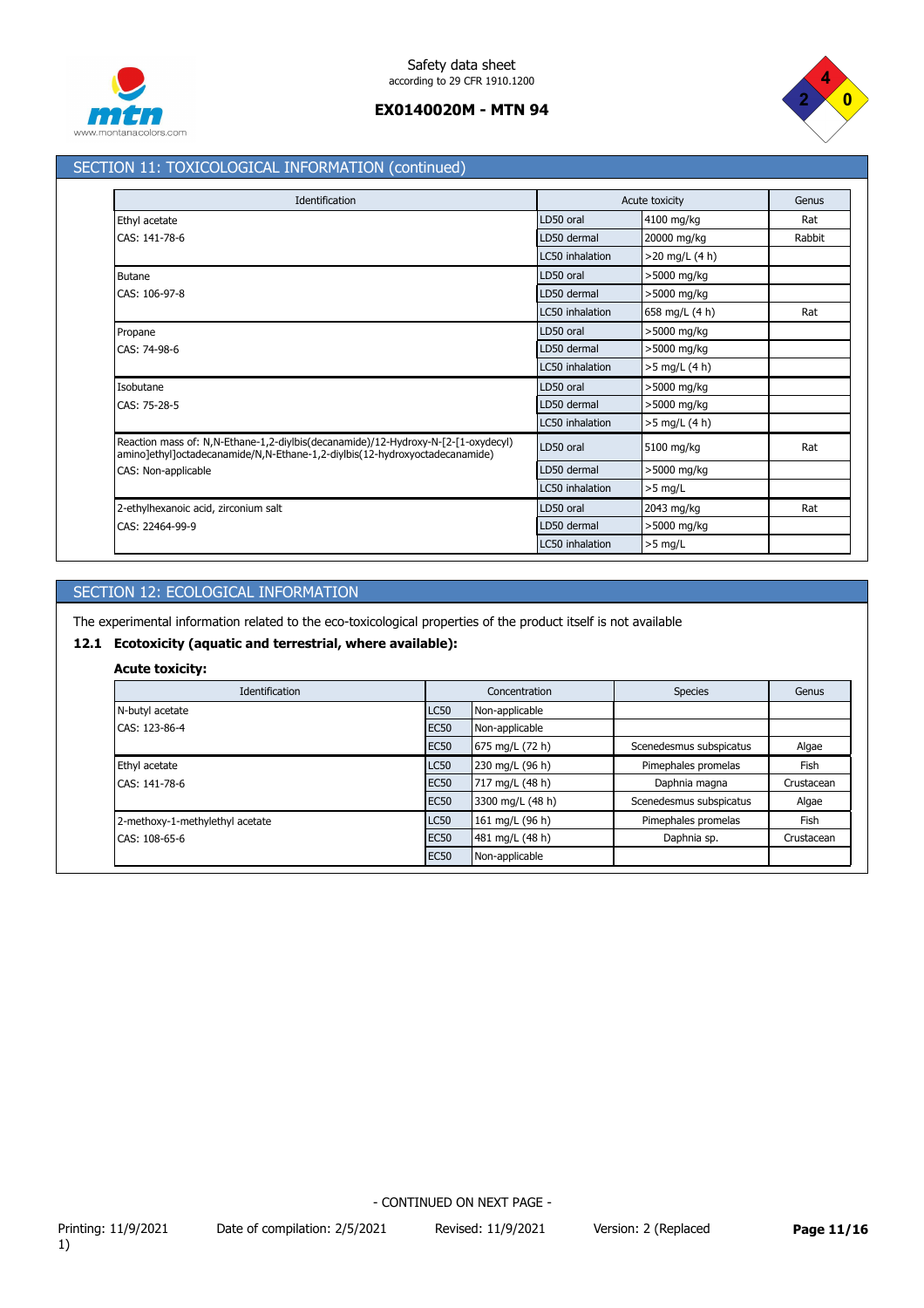



## SECTION 11: TOXICOLOGICAL INFORMATION (continued)

| Identification                                                                                                                                                   |                 | Acute toxicity   | Genus  |
|------------------------------------------------------------------------------------------------------------------------------------------------------------------|-----------------|------------------|--------|
| Ethyl acetate                                                                                                                                                    | LD50 oral       | 4100 mg/kg       | Rat    |
| CAS: 141-78-6                                                                                                                                                    | LD50 dermal     | 20000 mg/kg      | Rabbit |
|                                                                                                                                                                  | LC50 inhalation | $>20$ mg/L (4 h) |        |
| <b>Butane</b>                                                                                                                                                    | LD50 oral       | >5000 mg/kg      |        |
| CAS: 106-97-8                                                                                                                                                    | LD50 dermal     | >5000 mg/kg      |        |
|                                                                                                                                                                  | LC50 inhalation | 658 mg/L (4 h)   | Rat    |
| Propane                                                                                                                                                          | LD50 oral       | >5000 mg/kg      |        |
| CAS: 74-98-6                                                                                                                                                     | LD50 dermal     | >5000 mg/kg      |        |
|                                                                                                                                                                  | LC50 inhalation | $>5$ mg/L (4 h)  |        |
| Isobutane                                                                                                                                                        | LD50 oral       | >5000 mg/kg      |        |
| CAS: 75-28-5                                                                                                                                                     | LD50 dermal     | >5000 mg/kg      |        |
|                                                                                                                                                                  | LC50 inhalation | $>5$ mg/L (4 h)  |        |
| Reaction mass of: N,N-Ethane-1,2-diylbis(decanamide)/12-Hydroxy-N-[2-[1-oxydecyl)<br>amino]ethyl]octadecanamide/N,N-Ethane-1,2-diylbis(12-hydroxyoctadecanamide) | LD50 oral       | 5100 mg/kg       | Rat    |
| CAS: Non-applicable                                                                                                                                              | LD50 dermal     | >5000 mg/kg      |        |
|                                                                                                                                                                  | LC50 inhalation | $>5$ mg/L        |        |
| 2-ethylhexanoic acid, zirconium salt                                                                                                                             | LD50 oral       | 2043 mg/kg       | Rat    |
| CAS: 22464-99-9                                                                                                                                                  | LD50 dermal     | >5000 mg/kg      |        |
|                                                                                                                                                                  | LC50 inhalation | $>5$ mg/L        |        |

# SECTION 12: ECOLOGICAL INFORMATION

The experimental information related to the eco-toxicological properties of the product itself is not available

## **12.1 Ecotoxicity (aquatic and terrestrial, where available):**

## **Acute toxicity:**

| Identification                  | Concentration |                  | <b>Species</b>          | Genus       |
|---------------------------------|---------------|------------------|-------------------------|-------------|
| N-butyl acetate                 | <b>LC50</b>   | Non-applicable   |                         |             |
| CAS: 123-86-4                   | <b>EC50</b>   | Non-applicable   |                         |             |
|                                 | <b>EC50</b>   | 675 mg/L (72 h)  | Scenedesmus subspicatus | Algae       |
| Ethyl acetate                   | <b>LC50</b>   | 230 mg/L (96 h)  | Pimephales promelas     | <b>Fish</b> |
| CAS: 141-78-6                   | <b>EC50</b>   | 717 mg/L (48 h)  | Daphnia magna           | Crustacean  |
|                                 | <b>EC50</b>   | 3300 mg/L (48 h) | Scenedesmus subspicatus | Algae       |
| 2-methoxy-1-methylethyl acetate | <b>LC50</b>   | 161 mg/L (96 h)  | Pimephales promelas     | <b>Fish</b> |
| CAS: 108-65-6                   | <b>EC50</b>   | 481 mg/L (48 h)  | Daphnia sp.             | Crustacean  |
|                                 | <b>EC50</b>   | Non-applicable   |                         |             |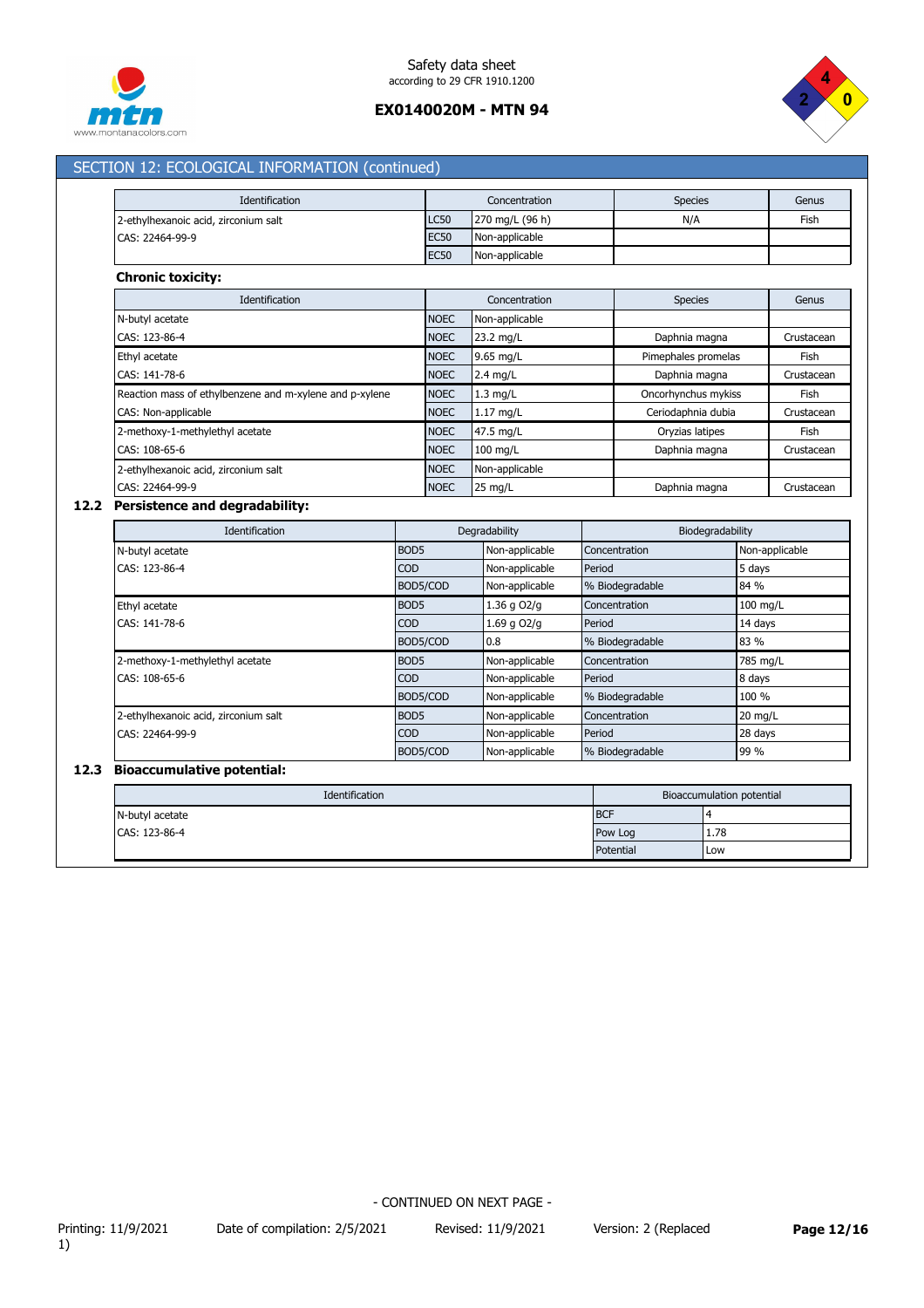



## SECTION 12: ECOLOGICAL INFORMATION (continued)

| Identification                       | Concentration |                           | <b>Species</b> | Genus |
|--------------------------------------|---------------|---------------------------|----------------|-------|
| 2-ethylhexanoic acid, zirconium salt | <b>LC50</b>   | $270 \text{ mg/L}$ (96 h) | N/A            | Fish  |
| CAS: 22464-99-9                      | <b>EC50</b>   | Non-applicable            |                |       |
|                                      | <b>EC50</b>   | Non-applicable            |                |       |

### **Chronic toxicity:**

| Identification                                          | Concentration |                   | <b>Species</b>      | Genus      |
|---------------------------------------------------------|---------------|-------------------|---------------------|------------|
| N-butyl acetate                                         | <b>NOEC</b>   | Non-applicable    |                     |            |
| CAS: 123-86-4                                           | <b>NOEC</b>   | 23.2 mg/L         | Daphnia magna       | Crustacean |
| Ethyl acetate                                           | <b>NOEC</b>   | 9.65 mg/L         | Pimephales promelas | Fish       |
| CAS: 141-78-6                                           | <b>NOEC</b>   | $2.4$ mg/L        | Daphnia magna       | Crustacean |
| Reaction mass of ethylbenzene and m-xylene and p-xylene | <b>NOEC</b>   | $1.3$ mg/L        | Oncorhynchus mykiss | Fish       |
| CAS: Non-applicable                                     | <b>NOEC</b>   | $1.17$ mg/L       | Ceriodaphnia dubia  | Crustacean |
| 2-methoxy-1-methylethyl acetate                         | <b>NOEC</b>   | 47.5 mg/L         | Oryzias latipes     | Fish       |
| CAS: 108-65-6                                           | <b>NOEC</b>   | $100$ mg/L        | Daphnia magna       | Crustacean |
| 2-ethylhexanoic acid, zirconium salt                    | <b>NOEC</b>   | Non-applicable    |                     |            |
| CAS: 22464-99-9                                         | <b>NOEC</b>   | $25 \text{ mg/L}$ | Daphnia magna       | Crustacean |

# **12.2 Persistence and degradability:**

| <b>Identification</b>                |                  | Degradability  | Biodegradability |                   |
|--------------------------------------|------------------|----------------|------------------|-------------------|
| N-butyl acetate                      | BOD <sub>5</sub> | Non-applicable | Concentration    | Non-applicable    |
| CAS: 123-86-4                        | COD              | Non-applicable | Period           | 5 days            |
|                                      | BOD5/COD         | Non-applicable | % Biodegradable  | 84 %              |
| Ethyl acetate                        | BOD <sub>5</sub> | 1.36 g O2/g    | Concentration    | $100$ mg/L        |
| CAS: 141-78-6                        | <b>COD</b>       | 1.69 g O2/g    | Period           | 14 days           |
|                                      | BOD5/COD         | 0.8            | % Biodegradable  | 83 %              |
| 2-methoxy-1-methylethyl acetate      | BOD <sub>5</sub> | Non-applicable | Concentration    | 785 mg/L          |
| CAS: 108-65-6                        | <b>COD</b>       | Non-applicable | Period           | 8 days            |
|                                      | BOD5/COD         | Non-applicable | % Biodegradable  | 100 %             |
| 2-ethylhexanoic acid, zirconium salt | BOD <sub>5</sub> | Non-applicable | Concentration    | $20 \text{ mg/L}$ |
| CAS: 22464-99-9                      | <b>COD</b>       | Non-applicable | Period           | 28 days           |
|                                      | BOD5/COD         | Non-applicable | % Biodegradable  | 99 %              |

## **12.3 Bioaccumulative potential:**

| Identification<br>Bioaccumulation potential |            |      |
|---------------------------------------------|------------|------|
| N-butyl acetate                             | <b>BCF</b> |      |
| CAS: 123-86-4                               | Pow Log    | 1.78 |
|                                             | Potential  | Low  |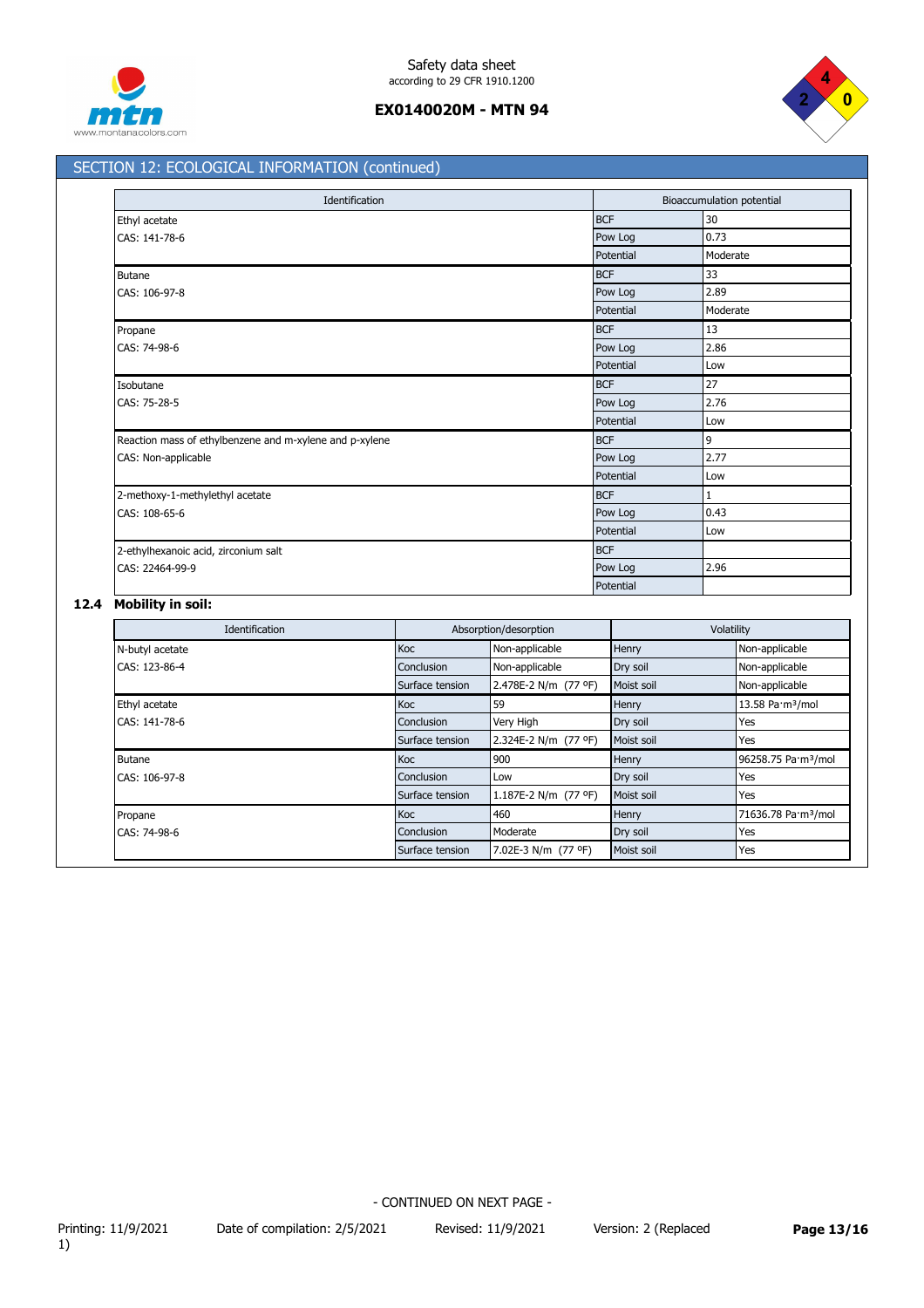



# SECTION 12: ECOLOGICAL INFORMATION (continued)

| Identification                                          |            | Bioaccumulation potential |  |
|---------------------------------------------------------|------------|---------------------------|--|
| Ethyl acetate                                           | <b>BCF</b> | 30                        |  |
| CAS: 141-78-6                                           | Pow Log    | 0.73                      |  |
|                                                         | Potential  | Moderate                  |  |
| Butane                                                  | <b>BCF</b> | 33                        |  |
| CAS: 106-97-8                                           | Pow Log    | 2.89                      |  |
|                                                         | Potential  | Moderate                  |  |
| Propane                                                 | <b>BCF</b> | 13                        |  |
| CAS: 74-98-6                                            | Pow Log    | 2.86                      |  |
|                                                         | Potential  | Low                       |  |
| Isobutane                                               | <b>BCF</b> | 27                        |  |
| CAS: 75-28-5                                            | Pow Log    | 2.76                      |  |
|                                                         | Potential  | Low                       |  |
| Reaction mass of ethylbenzene and m-xylene and p-xylene | <b>BCF</b> | $\overline{9}$            |  |
| CAS: Non-applicable                                     | Pow Log    | 2.77                      |  |
|                                                         | Potential  | Low                       |  |
| 2-methoxy-1-methylethyl acetate                         | <b>BCF</b> | $\mathbf{1}$              |  |
| CAS: 108-65-6                                           | Pow Log    | 0.43                      |  |
|                                                         | Potential  | Low                       |  |
| 2-ethylhexanoic acid, zirconium salt                    | <b>BCF</b> |                           |  |
| CAS: 22464-99-9                                         | Pow Log    | 2.96                      |  |
|                                                         | Potential  |                           |  |

## **12.4 Mobility in soil:**

| <b>Identification</b>   |                 | Absorption/desorption | Volatility   |                                 |
|-------------------------|-----------------|-----------------------|--------------|---------------------------------|
| N-butyl acetate         | Koc             | Non-applicable        | Henry        | Non-applicable                  |
| CAS: 123-86-4           | Conclusion      | Non-applicable        | Dry soil     | Non-applicable                  |
|                         | Surface tension | 2.478E-2 N/m (77 °F)  | Moist soil   | Non-applicable                  |
| Ethyl acetate           | Koc             | 59                    | Henry        | 13.58 Pa·m <sup>3</sup> /mol    |
| CAS: 141-78-6           | Conclusion      | Very High             | Dry soil     | Yes                             |
|                         | Surface tension | 2.324E-2 N/m (77 °F)  | Moist soil   | Yes                             |
| <b>Butane</b>           | Koc             | 900                   | <b>Henry</b> | 96258.75 Pa·m <sup>3</sup> /mol |
| CAS: 106-97-8           | Conclusion      | Low                   | Dry soil     | Yes                             |
|                         | Surface tension | 1.187E-2 N/m (77 °F)  | Moist soil   | Yes                             |
| Propane<br>CAS: 74-98-6 | <b>Koc</b>      | 460                   | Henry        | 71636.78 Pa·m <sup>3</sup> /mol |
|                         | Conclusion      | Moderate              | Dry soil     | Yes                             |
|                         | Surface tension | 7.02E-3 N/m (77 °F)   | Moist soil   | Yes                             |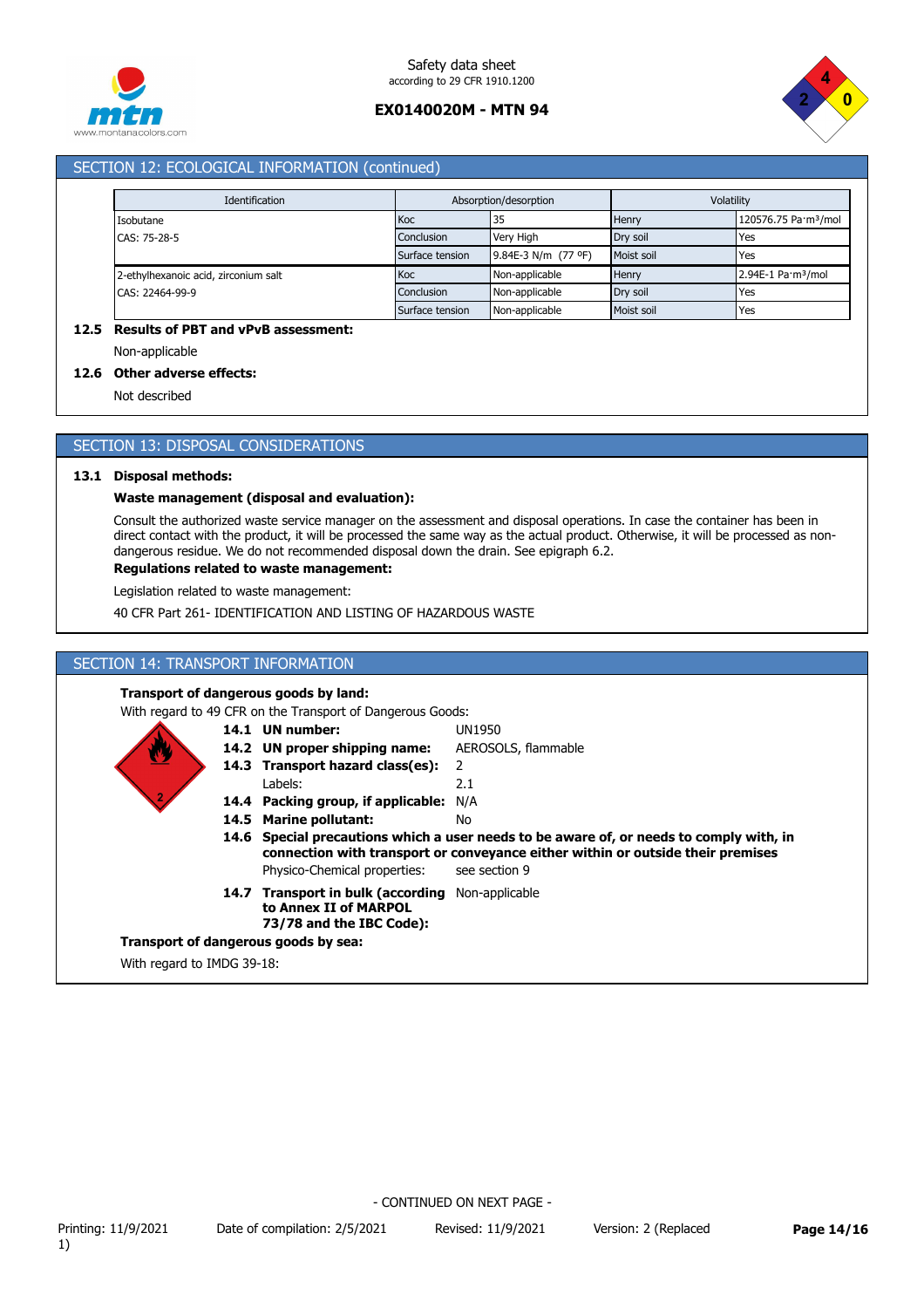



## SECTION 12: ECOLOGICAL INFORMATION (continued)

| Identification                       |                 | Absorption/desorption |            | Volatility                               |  |
|--------------------------------------|-----------------|-----------------------|------------|------------------------------------------|--|
| Isobutane                            | Koc             | 35                    | Henry      | 120576.75 Pa·m <sup>3</sup> /mol         |  |
| CAS: 75-28-5                         | Conclusion      | Very High             | Drv soil   | Yes                                      |  |
|                                      | Surface tension | 9.84E-3 N/m (77 °F)   | Moist soil | <b>Yes</b>                               |  |
| 2-ethylhexanoic acid, zirconium salt | Koc             | Non-applicable        | Henry      | $2.94E-1$ Pa $\cdot$ m <sup>3</sup> /mol |  |
| CAS: 22464-99-9                      | Conclusion      | Non-applicable        | Drv soil   | Yes                                      |  |
|                                      | Surface tension | Non-applicable        | Moist soil | Yes                                      |  |

### **12.5 Results of PBT and vPvB assessment:**

Non-applicable

#### **12.6 Other adverse effects:**

Not described

### SECTION 13: DISPOSAL CONSIDERATIONS

#### **13.1 Disposal methods:**

### **Waste management (disposal and evaluation):**

Consult the authorized waste service manager on the assessment and disposal operations. In case the container has been in direct contact with the product, it will be processed the same way as the actual product. Otherwise, it will be processed as nondangerous residue. We do not recommended disposal down the drain. See epigraph 6.2.

#### **Regulations related to waste management:**

Legislation related to waste management:

40 CFR Part 261- IDENTIFICATION AND LISTING OF HAZARDOUS WASTE

### SECTION 14: TRANSPORT INFORMATION

### **Transport of dangerous goods by land:**

With regard to 49 CFR on the Transport of Dangerous Goods:

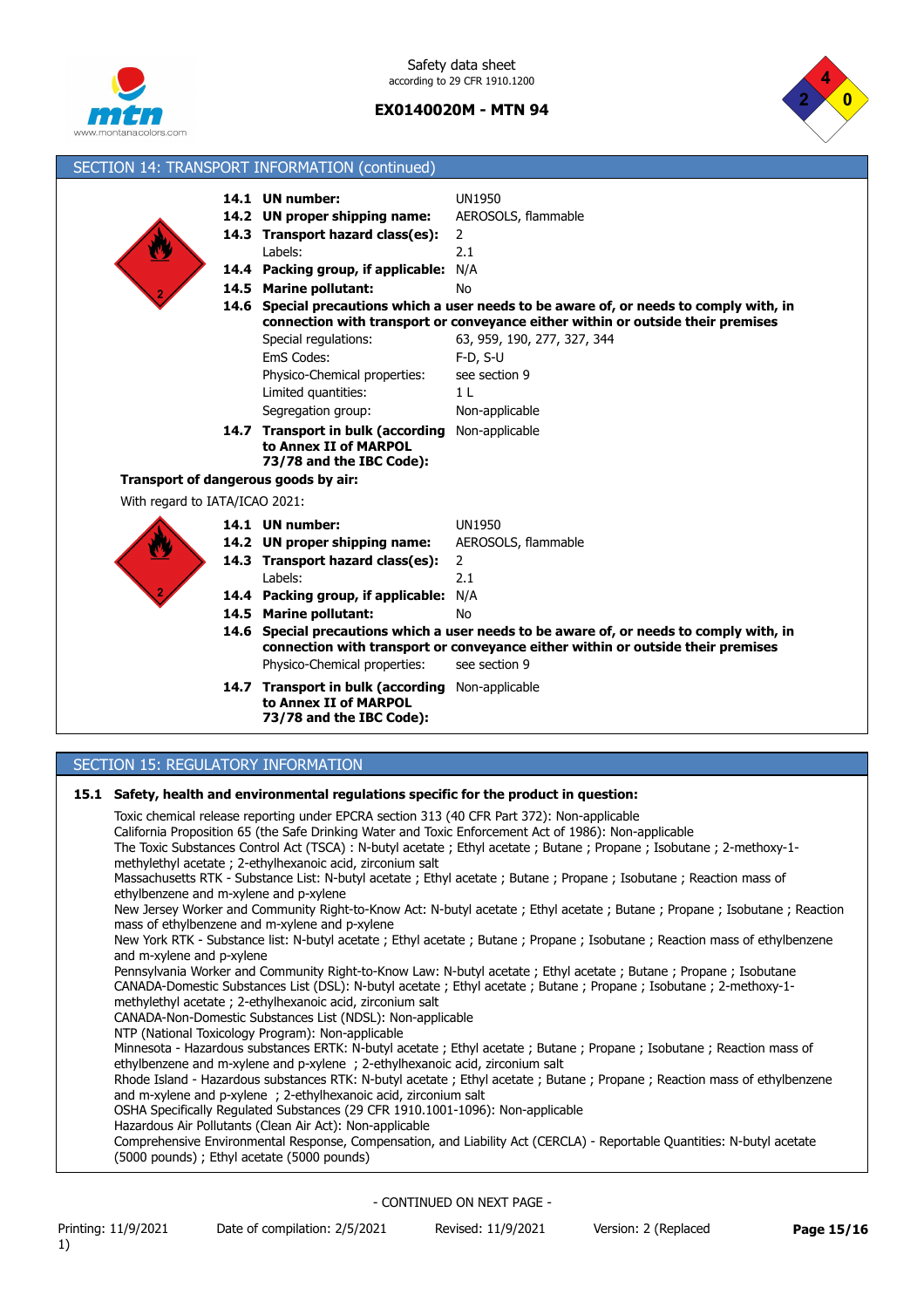



| SECTION 14: TRANSPORT INFORMATION (continued)                                                                                                                                                                                    |                                                                                                                  |                                                                                 |                                                                                         |  |
|----------------------------------------------------------------------------------------------------------------------------------------------------------------------------------------------------------------------------------|------------------------------------------------------------------------------------------------------------------|---------------------------------------------------------------------------------|-----------------------------------------------------------------------------------------|--|
|                                                                                                                                                                                                                                  | 14.1 UN number:                                                                                                  |                                                                                 | <b>UN1950</b>                                                                           |  |
|                                                                                                                                                                                                                                  | 14.2 UN proper shipping name:                                                                                    |                                                                                 | AEROSOLS, flammable                                                                     |  |
|                                                                                                                                                                                                                                  | 14.3 Transport hazard class(es):                                                                                 |                                                                                 | 2                                                                                       |  |
|                                                                                                                                                                                                                                  | Labels:                                                                                                          |                                                                                 | 2.1                                                                                     |  |
|                                                                                                                                                                                                                                  | 14.4 Packing group, if applicable: N/A                                                                           |                                                                                 |                                                                                         |  |
|                                                                                                                                                                                                                                  | 14.5 Marine pollutant:                                                                                           |                                                                                 | No                                                                                      |  |
|                                                                                                                                                                                                                                  |                                                                                                                  |                                                                                 | 14.6 Special precautions which a user needs to be aware of, or needs to comply with, in |  |
|                                                                                                                                                                                                                                  |                                                                                                                  | connection with transport or conveyance either within or outside their premises |                                                                                         |  |
|                                                                                                                                                                                                                                  | Special regulations:                                                                                             |                                                                                 | 63, 959, 190, 277, 327, 344                                                             |  |
|                                                                                                                                                                                                                                  | EmS Codes:                                                                                                       |                                                                                 | $F-D, S-U$                                                                              |  |
|                                                                                                                                                                                                                                  | Physico-Chemical properties:                                                                                     |                                                                                 | see section 9                                                                           |  |
|                                                                                                                                                                                                                                  | Limited quantities:                                                                                              |                                                                                 | 1 <sub>L</sub>                                                                          |  |
|                                                                                                                                                                                                                                  | Segregation group:                                                                                               |                                                                                 | Non-applicable                                                                          |  |
|                                                                                                                                                                                                                                  | <b>14.7 Transport in bulk (according</b> Non-applicable                                                          |                                                                                 |                                                                                         |  |
|                                                                                                                                                                                                                                  | to Annex II of MARPOL<br>73/78 and the IBC Code):                                                                |                                                                                 |                                                                                         |  |
| Transport of dangerous goods by air:                                                                                                                                                                                             |                                                                                                                  |                                                                                 |                                                                                         |  |
| With regard to IATA/ICAO 2021:                                                                                                                                                                                                   |                                                                                                                  |                                                                                 |                                                                                         |  |
|                                                                                                                                                                                                                                  | 14.1 UN number:                                                                                                  |                                                                                 | UN1950                                                                                  |  |
|                                                                                                                                                                                                                                  | 14.2 UN proper shipping name:                                                                                    |                                                                                 | AEROSOLS, flammable                                                                     |  |
|                                                                                                                                                                                                                                  | 14.3 Transport hazard class(es):                                                                                 |                                                                                 | 2                                                                                       |  |
|                                                                                                                                                                                                                                  | Labels:                                                                                                          |                                                                                 | 2.1                                                                                     |  |
|                                                                                                                                                                                                                                  | 14.4 Packing group, if applicable: N/A                                                                           |                                                                                 |                                                                                         |  |
|                                                                                                                                                                                                                                  | 14.5 Marine pollutant:                                                                                           |                                                                                 | No                                                                                      |  |
|                                                                                                                                                                                                                                  |                                                                                                                  |                                                                                 | 14.6 Special precautions which a user needs to be aware of, or needs to comply with, in |  |
|                                                                                                                                                                                                                                  |                                                                                                                  |                                                                                 | connection with transport or conveyance either within or outside their premises         |  |
|                                                                                                                                                                                                                                  | Physico-Chemical properties:                                                                                     |                                                                                 | see section 9                                                                           |  |
|                                                                                                                                                                                                                                  | 14.7 Transport in bulk (according Non-applicable                                                                 |                                                                                 |                                                                                         |  |
|                                                                                                                                                                                                                                  | to Annex II of MARPOL<br>73/78 and the IBC Code):                                                                |                                                                                 |                                                                                         |  |
|                                                                                                                                                                                                                                  |                                                                                                                  |                                                                                 |                                                                                         |  |
| SECTION 15: REGULATORY INFORMATION                                                                                                                                                                                               |                                                                                                                  |                                                                                 |                                                                                         |  |
|                                                                                                                                                                                                                                  |                                                                                                                  |                                                                                 |                                                                                         |  |
|                                                                                                                                                                                                                                  |                                                                                                                  |                                                                                 | 15.1 Safety, health and environmental regulations specific for the product in question: |  |
| Toxic chemical release reporting under EPCRA section 313 (40 CFR Part 372): Non-applicable                                                                                                                                       |                                                                                                                  |                                                                                 |                                                                                         |  |
| California Proposition 65 (the Safe Drinking Water and Toxic Enforcement Act of 1986): Non-applicable<br>The Toxic Substances Control Act (TSCA) : N-butyl acetate ; Ethyl acetate ; Butane ; Propane ; Isobutane ; 2-methoxy-1- |                                                                                                                  |                                                                                 |                                                                                         |  |
| methylethyl acetate; 2-ethylhexanoic acid, zirconium salt                                                                                                                                                                        |                                                                                                                  |                                                                                 |                                                                                         |  |
|                                                                                                                                                                                                                                  | Massachusetts RTK - Substance List: N-butyl acetate; Ethyl acetate; Butane; Propane; Isobutane; Reaction mass of |                                                                                 |                                                                                         |  |
| ethylbenzene and m-xylene and p-xylene                                                                                                                                                                                           |                                                                                                                  |                                                                                 |                                                                                         |  |
| New Jersey Worker and Community Right-to-Know Act: N-butyl acetate ; Ethyl acetate ; Butane ; Propane ; Isobutane ; Reaction                                                                                                     |                                                                                                                  |                                                                                 |                                                                                         |  |

mass of ethylbenzene and m-xylene and p-xylene

New York RTK - Substance list: N-butyl acetate ; Ethyl acetate ; Butane ; Propane ; Isobutane ; Reaction mass of ethylbenzene and m-xylene and p-xylene

Pennsylvania Worker and Community Right-to-Know Law: N-butyl acetate ; Ethyl acetate ; Butane ; Propane ; Isobutane CANADA-Domestic Substances List (DSL): N-butyl acetate ; Ethyl acetate ; Butane ; Propane ; Isobutane ; 2-methoxy-1 methylethyl acetate ; 2-ethylhexanoic acid, zirconium salt

CANADA-Non-Domestic Substances List (NDSL): Non-applicable

NTP (National Toxicology Program): Non-applicable

Minnesota - Hazardous substances ERTK: N-butyl acetate ; Ethyl acetate ; Butane ; Propane ; Isobutane ; Reaction mass of ethylbenzene and m-xylene and p-xylene ; 2-ethylhexanoic acid, zirconium salt

Rhode Island - Hazardous substances RTK: N-butyl acetate ; Ethyl acetate ; Butane ; Propane ; Reaction mass of ethylbenzene and m-xylene and p-xylene ; 2-ethylhexanoic acid, zirconium salt

OSHA Specifically Regulated Substances (29 CFR 1910.1001-1096): Non-applicable

Hazardous Air Pollutants (Clean Air Act): Non-applicable

Comprehensive Environmental Response, Compensation, and Liability Act (CERCLA) - Reportable Quantities: N-butyl acetate (5000 pounds) ; Ethyl acetate (5000 pounds)